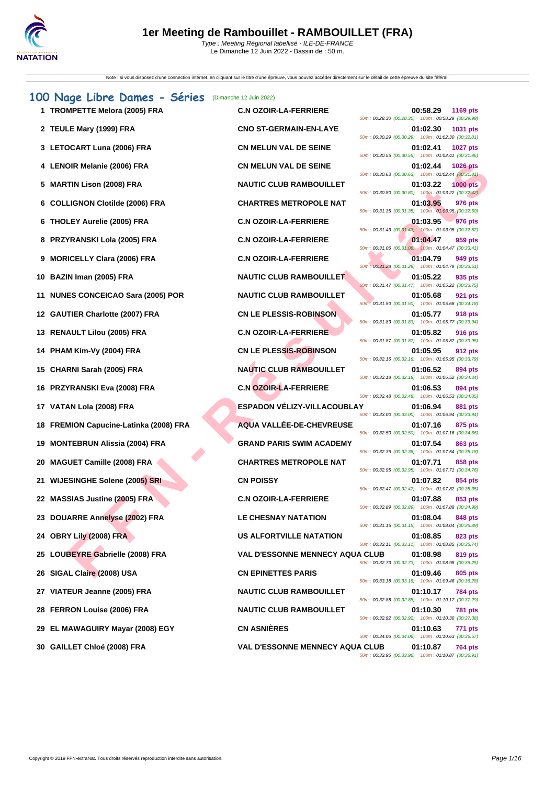| Note : si vous disposez d'une connection internet, en cliquant sur le titre d'une épreuve, vous pouvez accéder directement sur le détail de cette épreuve du site féféral. |                                        |                                                                                                                                 |
|----------------------------------------------------------------------------------------------------------------------------------------------------------------------------|----------------------------------------|---------------------------------------------------------------------------------------------------------------------------------|
| 100 Nage Libre Dames - Séries                                                                                                                                              | (Dimanche 12 Juin 2022)                |                                                                                                                                 |
| 1 TROMPETTE Melora (2005) FRA                                                                                                                                              | <b>C.N OZOIR-LA-FERRIERE</b>           | 00:58.29<br>1169 pts<br>50m: 00:28.30 (00:28.30) 100m: 00:58.29 (00:29.99)                                                      |
| 2 TEULE Mary (1999) FRA                                                                                                                                                    | <b>CNO ST-GERMAIN-EN-LAYE</b>          | 01:02.30<br>1031 pts<br>50m: 00:30.29 (00:30.29) 100m: 01:02.30 (00:32.01)                                                      |
| 3 LETOCART Luna (2006) FRA                                                                                                                                                 | <b>CN MELUN VAL DE SEINE</b>           | 01:02.41<br><b>1027 pts</b><br>50m: 00:30.55 (00:30.55) 100m: 01:02.41 (00:31.86)                                               |
| 4 LENOIR Melanie (2006) FRA                                                                                                                                                | <b>CN MELUN VAL DE SEINE</b>           | 01:02.44<br><b>1026 pts</b><br>50m: 00:30.63 (00:30.63) 100m: 01:02.44 (00:31.81)                                               |
| <b>MARTIN Lison (2008) FRA</b>                                                                                                                                             | <b>NAUTIC CLUB RAMBOUILLET</b>         | 01:03.22<br><b>1000 pts</b><br>50m: 00:30.80 (00:30.80) 100m: 01:03.22 (00:32.42)                                               |
| 6 COLLIGNON Clotilde (2006) FRA                                                                                                                                            | <b>CHARTRES METROPOLE NAT</b>          | 01:03.95<br>976 pts<br>50m: 00:31.35 (00:31.35) 100m: 01:03.95 (00:32.60)                                                       |
| 6 THOLEY Aurelie (2005) FRA                                                                                                                                                | <b>C.N OZOIR-LA-FERRIERE</b>           | 01:03.95<br>976 pts<br>50m: 00:31.43 (00:31.43) 100m: 01:03.95 (00:32.52)                                                       |
| 8 PRZYRANSKI Lola (2005) FRA                                                                                                                                               | <b>C.N OZOIR-LA-FERRIERE</b>           | 01:04.47<br>959 pts<br>50m; 00:31.06 (00:31.06) 100m: 01:04.47 (00:33.41)                                                       |
| <b>MORICELLY Clara (2006) FRA</b>                                                                                                                                          | <b>C.N OZOIR-LA-FERRIERE</b>           | 01:04.79<br>949 pts<br>50m: 00:31.28 (00:31.28) 100m: 01:04.79 (00:33.51)                                                       |
| BAZIN Iman (2005) FRA<br>10                                                                                                                                                | <b>NAUTIC CLUB RAMBOUILLET</b>         | 01:05.22<br>935 pts<br>50m: 00:31.47 (00:31.47) 100m: 01:05.22 (00:33.75)                                                       |
| 11 NUNES CONCEICAO Sara (2005) POR                                                                                                                                         | <b>NAUTIC CLUB RAMBOUILLET</b>         | 01:05.68<br>921 pts<br>50m: 00:31.50 (00:31.50) 100m: 01:05.68 (00:34.18)                                                       |
| 12 GAUTIER Charlotte (2007) FRA                                                                                                                                            | <b>CN LE PLESSIS-ROBINSON</b>          | 01:05.77<br>918 pts<br>50m: 00:31.83 (00:31.83) 100m: 01:05.77 (00:33.94)                                                       |
| 13 RENAULT Lilou (2005) FRA                                                                                                                                                | <b>C.N OZOIR-LA-FERRIERE</b>           | 01:05.82<br>916 pts<br>50m: 00:31.87 (00:31.87) 100m: 01:05.82 (00:33.95)                                                       |
| 14 PHAM Kim-Vy (2004) FRA                                                                                                                                                  | <b>CN LE PLESSIS-ROBINSON</b>          | 01:05.95<br>912 pts<br>50m: 00:32.16 (00:32.16) 100m: 01:05.95 (00:33.79)                                                       |
| 15 CHARNI Sarah (2005) FRA                                                                                                                                                 | <b>NAUTIC CLUB RAMBOUILLET</b>         | 01:06.52<br>894 pts<br>50m: 00:32.18 (00:32.18) 100m: 01:06.52 (00:34.34)                                                       |
| 16 PRZYRANSKI Eva (2008) FRA                                                                                                                                               | <b>C.N OZOIR-LA-FERRIERE</b>           | 01:06.53<br>894 pts<br>50m: 00:32.48 (00:32.48) 100m: 01:06.53 (00:34.05)                                                       |
| 17 VATAN Lola (2008) FRA                                                                                                                                                   | <b>ESPADON VÉLIZY-VILLACOUBLAY</b>     | 01:06.94<br>881 pts<br>50m: 00:33.00 (00:33.00) 100m: 01:06.94 (00:33.94)                                                       |
| <b>FREMION Capucine-Latinka (2008) FRA</b><br>18                                                                                                                           | AQUA VALLÉE-DE-CHEVREUSE               | 01:07.16<br>875 pts<br>50m: 00:32.50 (00:32.50) 100m: 01:07.16 (00:34.66)                                                       |
| <b>MONTEBRUN Alissia (2004) FRA</b><br>19                                                                                                                                  | <b>GRAND PARIS SWIM ACADEMY</b>        | 01:07.54<br>863 pts<br>50m: 00:32.36 (00:32.36) 100m: 01:07.54 (00:35.18)                                                       |
| <b>MAGUET Camille (2008) FRA</b><br>20                                                                                                                                     | <b>CHARTRES METROPOLE NAT</b>          | 01:07.71<br>858 pts<br>50m: 00:32.95 (00:32.95) 100m: 01:07.71 (00:34.76)                                                       |
| 21 WIJESINGHE Solene (2005) SRI                                                                                                                                            | <b>CN POISSY</b>                       | 01:07.82<br>854 pts<br>50m: 00:32.47 (00:32.47) 100m: 01:07.82 (00:35.35)                                                       |
| 22 MASSIAS Justine (2005) FRA                                                                                                                                              | <b>C.N OZOIR-LA-FERRIERE</b>           | 01:07.88<br>853 pts<br>50m: 00:32.89 (00:32.89) 100m: 01:07.88 (00:34.99)                                                       |
| 23 DOUARRE Annelyse (2002) FRA                                                                                                                                             | LE CHESNAY NATATION                    | 01:08.04<br>848 pts<br>50m: 00:31.15 (00:31.15) 100m: 01:08.04 (00:36.89)                                                       |
| 24 OBRY Lily (2008) FRA                                                                                                                                                    | US ALFORTVILLE NATATION                | 01:08.85<br>823 pts<br>50m: 00:33.11 (00:33.11) 100m: 01:08.85 (00:35.74)                                                       |
| 25 LOUBEYRE Gabrielle (2008) FRA                                                                                                                                           | <b>VAL D'ESSONNE MENNECY AQUA CLUB</b> | 01:08.98<br>819 pts<br>50m: 00:32.73 (00:32.73) 100m: 01:08.98 (00:36.25)                                                       |
| 26 SIGAL Claire (2008) USA                                                                                                                                                 | <b>CN EPINETTES PARIS</b>              | 01:09.46<br>805 pts<br>50m: 00:33.18 (00:33.18) 100m: 01:09.46 (00:36.28)                                                       |
| 27 VIATEUR Jeanne (2005) FRA                                                                                                                                               | <b>NAUTIC CLUB RAMBOUILLET</b>         | 01:10.17<br><b>784 pts</b><br>50m: 00:32.88 (00:32.88) 100m: 01:10.17 (00:37.29)                                                |
| 28 FERRON Louise (2006) FRA                                                                                                                                                | <b>NAUTIC CLUB RAMBOUILLET</b>         | 01:10.30<br><b>781 pts</b><br>50m: 00:32.92 (00:32.92) 100m: 01:10.30 (00:37.38)                                                |
| 29 EL MAWAGUIRY Mayar (2008) EGY                                                                                                                                           | <b>CN ASNIÈRES</b>                     | 01:10.63<br>771 pts                                                                                                             |
| 30 GAILLET Chloé (2008) FRA                                                                                                                                                | <b>VAL D'ESSONNE MENNECY AQUA CLUB</b> | 50m: 00:34.06 (00:34.06) 100m: 01:10.63 (00:36.57)<br>01:10.87<br>764 pts<br>50m: 00:33.96 (00:33.96) 100m: 01:10.87 (00:36.91) |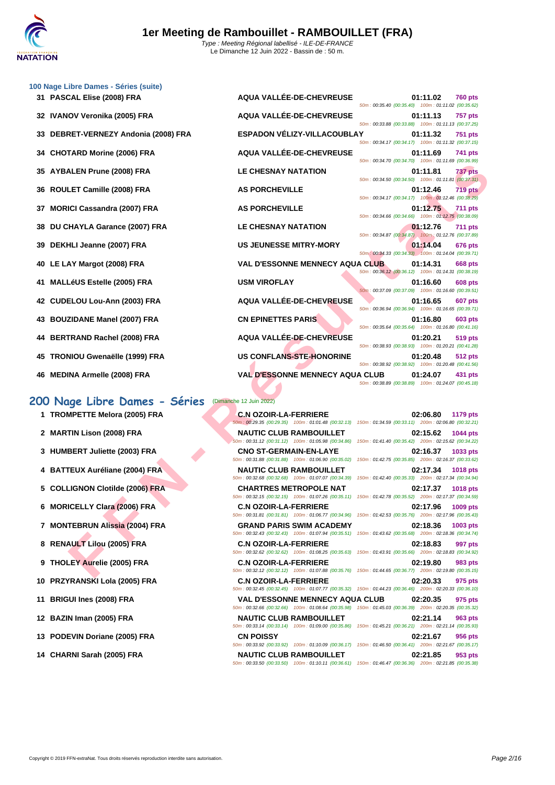|    | 100 Nage Libre Dames - Séries (suite) |                                                                                                                                            |                                                                                    |
|----|---------------------------------------|--------------------------------------------------------------------------------------------------------------------------------------------|------------------------------------------------------------------------------------|
|    | 31 PASCAL Elise (2008) FRA            | AQUA VALLÉE-DE-CHEVREUSE                                                                                                                   | 01:11.02<br><b>760 pts</b><br>50m: 00:35.40 (00:35.40) 100m: 01:11.02 (00:35.62)   |
|    | 32 IVANOV Veronika (2005) FRA         | AQUA VALLÉE-DE-CHEVREUSE                                                                                                                   | 01:11.13<br><b>757 pts</b><br>50m: 00:33.88 (00:33.88) 100m: 01:11.13 (00:37.25)   |
|    | 33 DEBRET-VERNEZY Andonia (2008) FRA  | ESPADON VÉLIZY-VILLACOUBLAY                                                                                                                | 01:11.32<br>751 pts<br>50m: 00:34.17 (00:34.17) 100m: 01:11.32 (00:37.15)          |
| 34 | <b>CHOTARD Morine (2006) FRA</b>      | AQUA VALLÉE-DE-CHEVREUSE                                                                                                                   | 01:11.69<br>741 pts                                                                |
| 35 | <b>AYBALEN Prune (2008) FRA</b>       | <b>LE CHESNAY NATATION</b>                                                                                                                 | 50m: 00:34.70 (00:34.70) 100m: 01:11.69 (00:36.99)<br>01:11.81<br><b>737 pts</b>   |
| 36 | ROULET Camille (2008) FRA             | <b>AS PORCHEVILLE</b>                                                                                                                      | 50m: 00:34.50 (00:34.50) 100m: 01:11.81 (00:37.31)<br>01:12.46<br><b>719 pts</b>   |
| 37 | <b>MORICI Cassandra (2007) FRA</b>    | <b>AS PORCHEVILLE</b>                                                                                                                      | 50m: 00:34.17 (00:34.17) 100m: 01:12.46 (00:38.29)<br>01:12.75<br><b>711 pts</b>   |
| 38 | DU CHAYLA Garance (2007) FRA          | <b>LE CHESNAY NATATION</b>                                                                                                                 | 50m: 00:34.66 (00:34.66) 100m: 01:12.75 (00:38.09)<br>01:12.76<br><b>711 pts</b>   |
| 39 | DEKHLI Jeanne (2007) FRA              | <b>US JEUNESSE MITRY-MORY</b>                                                                                                              | 50m: 00:34.87 (00:34.87) 100m: 01:12.76 (00:37.89)<br>01:14.04<br><b>676 pts</b>   |
|    | 40 LE LAY Margot (2008) FRA           | <b>VAL D'ESSONNE MENNECY AQUA CLUB</b>                                                                                                     | 50m: 00:34.33 (00:34.33) 100m: 01:14.04 (00:39.71)<br>01:14.31<br>668 pts          |
| 41 | <b>MALLéUS Estelle (2005) FRA</b>     | <b>USM VIROFLAY</b>                                                                                                                        | 50m: 00:36.12 (00:36.12) 100m: 01:14.31 (00:38.19)<br>01:16.60<br>608 pts          |
|    | 42 CUDELOU Lou-Ann (2003) FRA         | AQUA VALLÉE-DE-CHEVREUSE                                                                                                                   | 50m: 00:37.09 (00:37.09) 100m: 01:16.60 (00:39.51)<br>01:16.65<br>607 pts          |
|    | 43 BOUZIDANE Manel (2007) FRA         | <b>CN EPINETTES PARIS</b>                                                                                                                  | 50m: 00:36.94 (00:36.94) 100m: 01:16.65 (00:39.71)<br>01:16.80<br>603 pts          |
| 44 | <b>BERTRAND Rachel (2008) FRA</b>     | AQUA VALLÉE-DE-CHEVREUSE                                                                                                                   | 50m: 00:35.64 (00:35.64) 100m: 01:16.80 (00:41.16)<br>01:20.21<br>519 pts          |
|    |                                       | US CONFLANS-STE-HONORINE                                                                                                                   | 50m: 00:38.93 (00:38.93) 100m: 01:20.21 (00:41.28)                                 |
|    | 45 TRONIOU Gwenaëlle (1999) FRA       |                                                                                                                                            | 01:20.48<br>512 pts<br>50m: 00:38.92 (00:38.92) 100m: 01:20.48 (00:41.56)          |
|    | 46 MEDINA Armelle (2008) FRA          | <b>VAL D'ESSONNE MENNECY AQUA CLUB</b>                                                                                                     | 01:24.07<br>431 pts<br>50m: 00:38.89 (00:38.89) 100m: 01:24.07 (00:45.18)          |
|    | 200 Nage Libre Dames - Séries         | (Dimanche 12 Juin 2022)                                                                                                                    |                                                                                    |
|    | 1 TROMPETTE Melora (2005) FRA         | <b>C.N OZOIR-LA-FERRIERE</b><br>50m: 00:29.35 (00:29.35) 100m: 01:01.48 (00:32.13) 150m: 01:34.59 (00:33.11) 200m: 02:06.80 (00:32.21)     | 02:06.80<br>1179 pts                                                               |
|    | 2 MARTIN Lison (2008) FRA             | <b>NAUTIC CLUB RAMBOUILLET</b><br>50m: 00:31.12 (00:31.12) 100m: 01:05.98 (00:34.86) 150m: 01:41.40 (00:35.42) 200m: 02:15.62 (00:34.22)   | 02:15.62<br>1044 pts                                                               |
|    | 3 HUMBERT Juliette (2003) FRA         | <b>CNO ST-GERMAIN-EN-LAYE</b>                                                                                                              | 02:16.37<br>1033 pts                                                               |
|    | 4 BATTEUX Auréliane (2004) FRA        | 50m: 00:31.88 (00:31.88) 100m: 01:06.90 (00:35.02) 150m: 01:42.75 (00:35.85) 200m: 02:16.37 (00:33.62)<br><b>NAUTIC CLUB RAMBOUILLET</b>   | 02:17.34<br><b>1018 pts</b>                                                        |
|    | 5 COLLIGNON Clotilde (2006) FRA       | 50m: 00:32.68 (00:32.68) 100m: 01:07.07 (00:34.39)<br><b>CHARTRES METROPOLE NAT</b>                                                        | 150m: 01:42.40 (00:35.33) 200m: 02:17.34 (00:34.94)<br>02:17.37<br><b>1018 pts</b> |
|    | 6 MORICELLY Clara (2006) FRA          | 50m: 00:32.15 (00:32.15) 100m: 01:07.26 (00:35.11) 150m: 01:42.78 (00:35.52) 200m: 02:17.37 (00:34.59)<br><b>C.N OZOIR-LA-FERRIERE</b>     | 02:17.96<br>1009 pts                                                               |
|    | 7 MONTEBRUN Alissia (2004) FRA        | 50m: 00:31.81 (00:31.81) 100m: 01:06.77 (00:34.96) 150m: 01:42.53 (00:35.76) 200m: 02:17.96 (00:35.43)<br><b>GRAND PARIS SWIM ACADEMY</b>  | 02:18.36<br>1003 pts                                                               |
|    | 8 RENAULT Lilou (2005) FRA            | 50m: 00:32.43 (00:32.43) 100m: 01:07.94 (00:35.51) 150m: 01:43.62 (00:35.68) 200m: 02:18.36 (00:34.74)<br><b>C.N OZOIR-LA-FERRIERE</b>     | 02:18.83<br>997 pts                                                                |
|    |                                       | 50m : 00:32.62 (00:32.62) 100m : 01:08.25 (00:35.63) 150m : 01:43.91 (00:35.66) 200m : 02:18.83 (00:34.92)                                 |                                                                                    |
|    | 9 THOLEY Aurelie (2005) FRA           | <b>C.N OZOIR-LA-FERRIERE</b><br>50m : 00:32.12 (00:32.12) 100m : 01:07.88 (00:35.76) 150m : 01:44.65 (00:36.77) 200m : 02:19.80 (00:35.15) | 02:19.80<br>983 pts                                                                |

### **200 Nage Libre Dames - Séries** (Dimanche 12 Juin 2022)

- **1 TROMPETTE Melora (2005) FRA C.N OZOIR-LA-FERRIERE**
- 
- **3 HUMBERT Juliette (2003) FRA CNO ST-GERMAIN-EN-LAYE 02:16.37 1033 pts**
- **4 BATTEUX Auréliane (2004) FRA NAUTIC CLUB RAMBOUILLET 02:17.34 1018 pts**
- **5 COLLIGNON Clotilde (2006) FRA CHARTRES METROPOLE NAT**
- **6 MORICELLY Clara (2006) FRA C.N OZOIR-LA-FERRIERE**
- 
- 8 **RENAULT Lilou (2005) FRA C.N OZOIR-LA-FERRIERE**
- 
- 
- 
- 
- 
- 

50m : 00:29.35 (00:29.35) 100m : 01:01.48 (00:32.13) **2 MARTIN Lison (2008) FRA NAUTIC CLUB RAMBOUILLET** 50m : 00:31.12 (00:31.12) 100m : 01:05.98 (00:34.86) 50m : 00:31.88 (00:31.88) 100m : 01:06.90 (00:35.02) 50m : 00:32.68 (00:32.68) 100m : 01:07.07 (00:34.39)  $50m$  : 00:32.15 (00:32.15) 100m : 01:07.26 (00:35.11) 50m : 00:31.81 (00:31.81) 100m : 01:06.77 (00:34.96) **7 MONTEBRUN Alissia (2004) FRA GRAND PARIS SWIM ACADEMY 02:18.36 1003 pts**  $50m : 00:32.43$  (00:32.43) 100m : 01:07.94 (00:35.51) 50m : 00:32.62 (00:32.62) 100m : 01:08.25 (00:35.63) **9 THOLEY Aurelie (2005) FRA C.N OZOIR-LA-FERRIERE 02:19.80 983 pts** 50m : 00:32.12 (00:32.12) 100m : 01:07.88 (00:35.76) 150m : 01:44.65 (00:36.77) 200m : 02:19.80 (00:35.15) **10 PRZYRANSKI Lola (2005) FRA C.N OZOIR-LA-FERRIERE 02:20.33 975 pts** 50m : 00:32.45 (00:32.45) 100m : 01:07.77 (00:35.32) 150m : 01:44.23 (00:36.46) 200m : 02:20.33 (00:36.10) **11 BRIGUI Ines (2008) FRA VAL D'ESSONNE MENNECY AQUA CLUB 02:20.35 975 pts** 50m : 00:32.66 (00:32.66) 100m : 01:08.64 (00:35.98) 150m : 01:45.03 (00:36.39) 200m : 02:20.35 (00:35.32) **12 BAZIN Iman (2005) FRA NAUTIC CLUB RAMBOUILLET 02:21.14 963 pts** 50m : 00:33.14 (00:33.14) 100m : 01:09.00 (00:35.86) 150m : 01:45.21 (00:36.21) 200m : 02:21.14 (00:35.93)

| $0.0011.00.00.94$ (00.00.94) TOUTH UT.10.00 (00.09.11) |                    |  |
|--------------------------------------------------------|--------------------|--|
| 50m: 00:35.64 (00:35.64) 100m: 01:16.80 (00:41.16)     | $01:16.80$ 603 pts |  |
|                                                        | 01:20.21 519 pts   |  |
| 50m: 00:38.93 (00:38.93) 100m: 01:20.21 (00:41.28)     |                    |  |
| 50m: 00:38.92 (00:38.92) 100m: 01:20.48 (00:41.56)     | 01:20.48 512 pts   |  |
| JA CLUB 01:24.07 431 pts                               |                    |  |
| 50m: 00:38.89 (00:38.89) 100m: 01:24.07 (00:45.18)     |                    |  |
|                                                        |                    |  |
|                                                        | 02:06.80 1179 pts  |  |
| 150m: 01:34.59 (00:33.11) 200m: 02:06.80 (00:32.21)    |                    |  |
| 150m: 01:41.40 (00:35.42) 200m: 02:15.62 (00:34.22)    | 02:15.62 1044 pts  |  |
|                                                        | 02:16.37 1033 pts  |  |
| 150m: 01:42.75 (00:35.85) 200m: 02:16.37 (00:33.62)    |                    |  |
|                                                        | 02:17.34 1018 pts  |  |
| 150m: 01:42.40 (00:35.33) 200m: 02:17.34 (00:34.94)    |                    |  |
| 150m: 01:42.78 (00:35.52) 200m: 02:17.37 (00:34.59)    | 02:17.37 1018 pts  |  |
|                                                        |                    |  |
| 150m: 01:42.53 (00:35.76) 200m: 02:17.96 (00:35.43)    | 02:17.96 1009 pts  |  |
| 150m: 01:43.62 (00:35.68) 200m: 02:18.36 (00:34.74)    | 02:18.36 1003 pts  |  |
|                                                        |                    |  |
| 150m: 01:43.91 (00:35.66) 200m: 02:18.83 (00:34.92)    | 02:18.83 997 pts   |  |
|                                                        | 0.340, 0.0         |  |

**13 PODEVIN Doriane (2005) FRA CN POISSY 02:21.67 956 pts** 50m : 00:33.92 (00:33.92) 100m : 01:10.09 (00:36.17) 150m : 01:46.50 (00:36.41) 200m : 02:21.67 (00:35.17) **14 CHARNI Sarah (2005) FRA NAUTIC CLUB RAMBOUILLET 02:21.85 953 pts** 50m : 00:33.50 (00:33.50) 100m : 01:10.11 (00:36.61) 150m : 01:46.47 (00:36.36) 200m : 02:21.85 (00:35.38)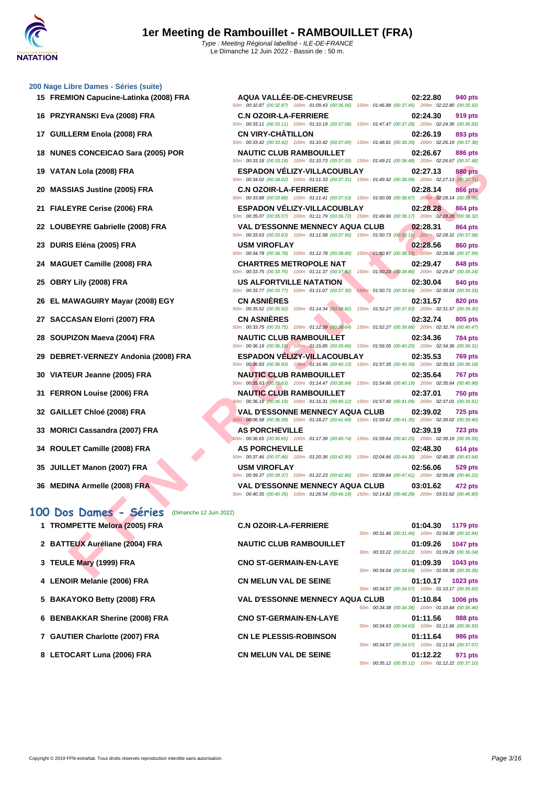50m : 00:32.87 (00:32.87) 100m : 01:09.43 (00:36.56) 150m : 01:46.88 (00:37.45) 200m : 02:22.80 (00:35.92)

50m : 00:33.11 (00:33.11) 100m : 01:10.19 (00:37.08) 150m : 01:47.47 (00:37.28) 200m : 02:24.30 (00:36.83)

50m : 00:33.42 (00:33.42) 100m : 01:10.42 (00:37.00) 150m : 01:48.81 (00:38.39) 200m : 02:26.19 (00:37.38)

50m : 00:33.18 (00:33.18) 100m : 01:10.73 (00:37.55) 150m : 01:49.21 (00:38.48) 200m : 02:26.67 (00:37.46)

## **[200 Nage](http://www.ffnatation.fr/webffn/index.php) Libre Dames - Séries (suite) 15 FREMION Capucine-Latinka (2008) FRA AQUA VALLÉE-DE-CHEVREUSE 02:22.80 940 pts 16 PRZYRANSKI Eva (2008) FRA C.N OZOIR-LA-FERRIERE 02:24.30 919 pts**

- **17 GUILLERM Enola (2008) FRA CN VIRY-CHÂTILLON 02:26.19 893 pts**
- **18 NUNES CONCEICAO Sara (2005) POR NAUTIC CLUB RAMBOUILLET 02:26.67 886 pts**
- **19 VATAN Lola (2008) FRA ESPADON VÉLIZY-VILLACOUBLAY 02:27.13 880 pts**
- **20 MASSIAS Justine (2005) FRA C.N OZOIR-LA-FERRIERE 02:28.14 866 pts**
- **21 FIALEYRE Cerise (2006) FRA ESPADON VÉLIZY-VILLACOUBLAY 02:28.28 864 pts**
- **22 LOUBEYRE Gabrielle (2008) FRA VAL D'ESSONNE MENNECY AQUA CLUB 02:28.31 864 pts**
- **23 DURIS Eléna (2005) FRA USM VIROFLAY 02:28.56 860 pts**
- **24 MAGUET Camille (2008) FRA CHARTRES METROPOLE NAT 02:29.47 848 pts**
- **25 OBRY Lily (2008) FRA US ALFORTVILLE NATATION 02:30.04 840 pts**
- **26 EL MAWAGUIRY Mayar (2008) EGY CN ASNIÈRES 02:31.57 820 pts**
- **27 SACCASAN Elorri (2007) FRA CN ASNIÈRES 02:32.74 805 pts**
- **28 SOUPIZON Maeva (2004) FRA NAUTIC CLUB RAMBOUILLET 02:34.36 784 pts**
- **29 DEBRET-VERNEZY Andonia (2008) FRA ESPADON VÉLIZY-VILLACOUBLAY 02:35.53 769 pts**
- **30 VIATEUR Jeanne (2005) FRA NAUTIC CLUB RAMBOUILLET 02:35.64 767 pts**
- **31 FERRON Louise (2006) FRA NAUTIC CLUB RAMBOUILLET 02:37.01 750 pts**
- **32 GAILLET Chloé (2008) FRA VAL D'ESSONNE MENNECY AQUA CLUB 02:39.02 725 pts**
- **33 MORICI Cassandra (2007) FRA AS PORCHEVILLE 02:39.19 723 pts**
- **34 ROULET Camille (2008) FRA AS PORCHEVILLE 02:48.30 614 pts**
- **35 JUILLET Manon (2007) FRA USM VIROFLAY 02:56.06 529 pts**
- **36 MEDINA Armelle (2008) FRA VAL D'ESSONNE MENNECY AQUA CLUB 03:01.62 472 pts**

**100 Dos Dames - Séries** (Dimanche 12 Juin 2022)

|                                      | $10011.0110.13$ $100.31.30$ $10011.01.43.21$ $100.30.40$ $20011.02.20.01$ $100.31.40$                                                                            |                 |
|--------------------------------------|------------------------------------------------------------------------------------------------------------------------------------------------------------------|-----------------|
| 19 VATAN Lola (2008) FRA             | <b>ESPADON VELIZY-VILLACOUBLAY</b><br>02:27.13<br>50m: 00:34.02 (00:34.02) 100m: 01:11.33 (00:37.31) 150m: 01:49.42 (00:38.09) 200m: 02:27.13 (00:37.71)         | 880 pts         |
| 20 MASSIAS Justine (2005) FRA        | <b>C.N OZOIR-LA-FERRIERE</b><br>02:28.14<br>50m : 00:33.88 (00:33.88) 100m : 01:11.41 (00:37.53) 150m : 01:50.08 (00:38.67) 200m : 02:28.14 (00:38.06)           | <b>866 pts</b>  |
| 21 FIALEYRE Cerise (2006) FRA        | <b>ESPADON VÉLIZY-VILLACOUBLAY</b><br>02:28.28<br>50m : 00:35.07 (00:35.07) 100m : 01:11.79 (00:36.72) 150m : 01:49.96 (00:38.17) 200m : 02:28.28 (00:38.32)     | 864 pts         |
| 22 LOUBEYRE Gabrielle (2008) FRA     | <b>VAL D'ESSONNE MENNECY AQUA CLUB</b><br>02:28.31                                                                                                               | 864 pts         |
| 23 DURIS Eléna (2005) FRA            | 50m: 00:33.63 (00:33.63) 100m: 01:11.58 (00:37.95) 150m: 01:50.73 (00:39.15) 200m: 02:28.31 (00:37.58)<br><b>USM VIROFLAY</b><br>02:28.56                        | 860 pts         |
| 24 MAGUET Camille (2008) FRA         | 50m: 00:34.78 (00:34.78) 100m: 01:12.78 (00:38.00) 150m: 01:50.97 (00:38.19) 200m: 02:28.56 (00:37.59)<br><b>CHARTRES METROPOLE NAT</b><br>02:29.47              | 848 pts         |
| 25 OBRY Lily (2008) FRA              | 50m: 00:33.75 (00:33.75) 100m: 01:11.37 (00:37.62) 150m: 01:50.23 (00:38.86) 200m: 02:29.47 (00:39.24)<br>US ALFORTVILLE NATATION<br>02:30.04                    | 840 pts         |
| 26 EL MAWAGUIRY Mayar (2008) EGY     | 50m: 00:33.77 (00:33.77) 100m: 01:11.07 (00:37.30)<br>150m: 01:50.71 (00:39.64) 200m: 02:30.04 (00:39.33)<br><b>CN ASNIERES</b><br>02:31.57                      | 820 pts         |
| 27 SACCASAN Elorri (2007) FRA        | 50m: 00:35.52 (00:35.52) 100m: 01:14.34 (00:38.82) 150m: 01:52.27 (00:37.93) 200m: 02:31.57 (00:39.30)<br><b>CN ASNIERES</b><br>02:32.74                         | 805 pts         |
| 28 SOUPIZON Maeva (2004) FRA         | 50m : 00:33.75 (00:33.75) 100m : 01:12.39 (00:38.64) 150m : 01:52.27 (00:39.88) 200m : 02:32.74 (00:40.47)<br><b>NAUTIC CLUB RAMBOUILLET</b><br>02:34.36         | 784 pts         |
| 29 DEBRET-VERNEZY Andonia (2008) FRA | 50m : 00:36.19 (00:36.19) 100m : 01:15.85 (00:39.66) 150m : 01:56.05 (00:40.20) 200m : 02:34.36 (00:38.31)<br><b>ESPADON VELIZY-VILLACOUBLAY</b><br>02:35.53     | 769 pts         |
| 30 VIATEUR Jeanne (2005) FRA         | 50m: 00:36.83 (00:36.83) 100m: 01:16.96 (00:40.13) 150m: 01:57.35 (00:40.39) 200m: 02:35.53 (00:38.18)<br><b>NAUTIC CLUB RAMBOUILLET</b><br>02:35.64             | 767 pts         |
| 31 FERRON Louise (2006) FRA          | 50m: 00:35.63 (00:35.63) 100m: 01:14.47 (00:38.84) 150m: 01:54.66 (00:40.19) 200m: 02:35.64 (00:40.98)<br><b>NAUTIC CLUB RAMBOUILLET</b><br>02:37.01             | 750 pts         |
| 32 GAILLET Chloé (2008) FRA          | 50m: 00:36.19 (00:36.19) 100m: 01:16.31 (00:40.12) 150m: 01:57.40 (00:41.09) 200m: 02:37.01 (00:39.61)<br><b>VAL D'ESSONNE MENNECY AQUA CLUB</b><br>02:39.02     | <b>725 pts</b>  |
| 33 MORICI Cassandra (2007) FRA       | 50m : 00:36.58 (00:36.58) 100m : 01:18.27 (00:41.69) 150m : 01:59.62 (00:41.35) 200m : 02:39.02 (00:39.40)<br><b>AS PORCHEVILLE</b><br>02:39.19                  | <b>723 pts</b>  |
| 34 ROULET Camille (2008) FRA         | 60m : 00:36.65 (00:36.65) 100m : 01:17.39 (00:40.74) 150m : 01:59.64 (00:42.25) 200m : 02:39.19 (00:39.55)<br><b>AS PORCHEVILLE</b><br>02:48.30                  | 614 pts         |
| 35 JUILLET Manon (2007) FRA          | 50m : 00:37.46 (00:37.46) 100m : 01:20.36 (00:42.90) 150m : 02:04.66 (00:44.30) 200m : 02:48.30 (00:43.64)<br><b>USM VIROFLAY</b><br>02:56.06                    | 529 pts         |
|                                      | 50m: 00:39.37 (00:39.37) 100m: 01:22.23 (00:42.86) 150m: 02:09.84 (00:47.61) 200m: 02:56.06 (00:46.22)                                                           |                 |
| 36 MEDINA Armelle (2008) FRA         | <b>VAL D'ESSONNE MENNECY AQUA CLUB</b><br>03:01.62<br>50m : 00:40.35 (00:40.35) 100m : 01:26.54 (00:46.19) 150m : 02:14.82 (00:48.28) 200m : 03:01.62 (00:46.80) | 472 pts         |
| 00 Dos Dames - Séries                | (Dimanche 12 Juin 2022)                                                                                                                                          |                 |
| 1 TROMPETTE Melora (2005) FRA        | <b>C.N OZOIR-LA-FERRIERE</b><br>01:04.30<br>50m: 00:31.46 (00:31.46) 100m: 01:04.30 (00:32.84)                                                                   | 1179 pts        |
| 2 BATTEUX Auréliane (2004) FRA       | <b>NAUTIC CLUB RAMBOUILLET</b><br>01:09.26<br>50m: 00:33.22 (00:33.22) 100m: 01:09.26 (00:36.04)                                                                 | <b>1047 pts</b> |
| 3 TEULE Mary (1999) FRA              | <b>CNO ST-GERMAIN-EN-LAYE</b><br>01:09.39<br>50m: 00:34.04 (00:34.04) 100m: 01:09.39 (00:35.35)                                                                  | 1043 pts        |
| 4 LENOIR Melanie (2006) FRA          | CN MELUN VAL DE SEINE<br>01:10.17<br>1023 pts<br>50m: 00:34.57 (00:34.57) 100m: 01:10.17 (00:35.60)                                                              |                 |
| 5 BAKAYOKO Betty (2008) FRA          | <b>VAL D'ESSONNE MENNECY AQUA CLUB</b><br>01:10.84<br>50m: 00:34.38 (00:34.38) 100m: 01:10.84 (00:36.46)                                                         | <b>1006 pts</b> |
| 6 BENBAKKAR Sherine (2008) FRA       | <b>CNO ST-GERMAIN-EN-LAYE</b><br>01:11.56<br>50m: 00:34.63 (00:34.63) 100m: 01:11.56 (00:36.93)                                                                  | 988 pts         |
| 7 GAUTIER Charlotte (2007) FRA       | <b>CN LE PLESSIS-ROBINSON</b><br>01:11.64<br>50m: 00:34.57 (00:34.57) 100m: 01:11.64 (00:37.07)                                                                  | <b>986 pts</b>  |
| 8 LETOCART Luna (2006) FRA           | <b>CN MELUN VAL DE SEINE</b><br>01:12.22<br>50m: 00:35.12 (00:35.12) 100m: 01:12.22 (00:37.10)                                                                   | 971 pts         |
|                                      |                                                                                                                                                                  |                 |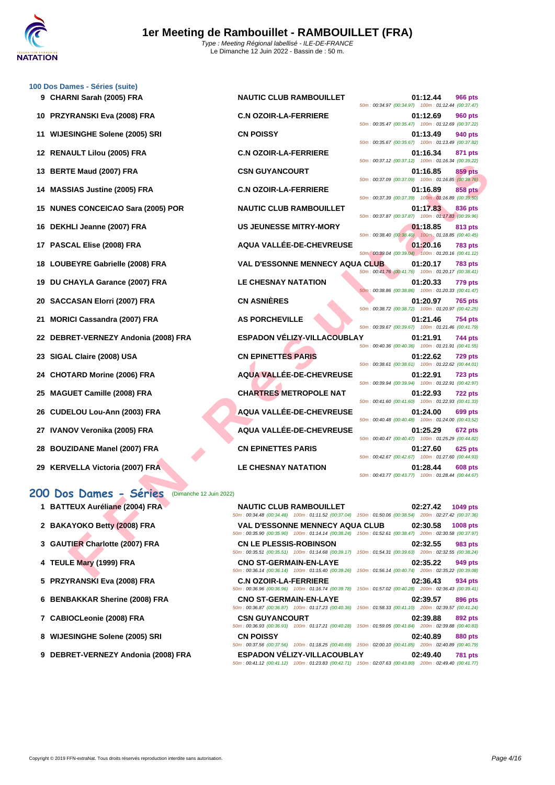

|    | 100 Dos Dames - Séries (suite)                    |                                                                                                                                                  |                                                                                    |
|----|---------------------------------------------------|--------------------------------------------------------------------------------------------------------------------------------------------------|------------------------------------------------------------------------------------|
|    | 9 CHARNI Sarah (2005) FRA                         | <b>NAUTIC CLUB RAMBOUILLET</b>                                                                                                                   | 01:12.44<br><b>966 pts</b><br>50m: 00:34.97 (00:34.97) 100m: 01:12.44 (00:37.47)   |
| 10 | <b>PRZYRANSKI Eva (2008) FRA</b>                  | <b>C.N OZOIR-LA-FERRIERE</b>                                                                                                                     | 01:12.69<br><b>960 pts</b><br>50m: 00:35.47 (00:35.47) 100m: 01:12.69 (00:37.22)   |
|    | 11 WIJESINGHE Solene (2005) SRI                   | <b>CN POISSY</b>                                                                                                                                 | 01:13.49<br>940 pts<br>50m: 00:35.67 (00:35.67) 100m: 01:13.49 (00:37.82)          |
|    | 12 RENAULT Lilou (2005) FRA                       | <b>C.N OZOIR-LA-FERRIERE</b>                                                                                                                     | 01:16.34<br>871 pts                                                                |
| 13 | <b>BERTE Maud (2007) FRA</b>                      | <b>CSN GUYANCOURT</b>                                                                                                                            | 50m: 00:37.12 (00:37.12) 100m: 01:16.34 (00:39.22)<br>01:16.85<br>859 pts          |
|    | <b>MASSIAS Justine (2005) FRA</b>                 | <b>C.N OZOIR-LA-FERRIERE</b>                                                                                                                     | 50m: 00:37.09 (00:37.09) 100m: 01:16.85 (00:39.76)<br>01:16.89<br>858 pts          |
| 15 | <b>NUNES CONCEICAO Sara (2005) POR</b>            | <b>NAUTIC CLUB RAMBOUILLET</b>                                                                                                                   | 50m: 00:37.39 (00:37.39) 100m: 01:16.89 (00:39.50)<br>01:17.83<br>836 pts          |
| 16 | DEKHLI Jeanne (2007) FRA                          | <b>US JEUNESSE MITRY-MORY</b>                                                                                                                    | 50m: 00:37.87 (00:37.87) 100m: 01:17.83 (00:39.96)<br>01:18.85<br>813 pts          |
|    | 17 PASCAL Elise (2008) FRA                        | AQUA VALLÉE-DE-CHEVREUSE                                                                                                                         | 50m: 00:38.40 (00:38.40) 100m: 01:18.85 (00:40.45)<br>01:20.16<br><b>783 pts</b>   |
|    | 18 LOUBEYRE Gabrielle (2008) FRA                  | <b>VAL D'ESSONNE MENNECY AQUA CLUB</b>                                                                                                           | 50m : 00:39.04 (00:39.04) 100m : 01:20.16 (00:41.12)<br>01:20.17<br><b>783 pts</b> |
| 19 | DU CHAYLA Garance (2007) FRA                      | <b>LE CHESNAY NATATION</b>                                                                                                                       | 50m: 00:41.76 (00:41.76) 100m: 01:20.17 (00:38.41)<br>01:20.33<br>779 pts          |
| 20 | <b>SACCASAN Elorri (2007) FRA</b>                 | <b>CN ASNIÈRES</b>                                                                                                                               | 50m: 00:38.86 (00:38.86) 100m: 01:20.33 (00:41.47)<br>01:20.97<br>765 pts          |
| 21 | <b>MORICI Cassandra (2007) FRA</b>                | <b>AS PORCHEVILLE</b>                                                                                                                            | 50m: 00:38.72 (00:38.72) 100m: 01:20.97 (00:42.25)<br>01:21.46<br><b>754 pts</b>   |
| 22 | DEBRET-VERNEZY Andonia (2008) FRA                 | <b>ESPADON VÉLIZY-VILLACOUBLAY</b>                                                                                                               | 50m: 00:39.67 (00:39.67) 100m: 01:21.46 (00:41.79)<br>01:21.91<br>744 pts          |
| 23 | SIGAL Claire (2008) USA                           | <b>CN EPINETTES PARIS</b>                                                                                                                        | 50m: 00:40.36 (00:40.36) 100m: 01:21.91 (00:41.55)<br>01:22.62<br><b>729 pts</b>   |
| 24 | <b>CHOTARD Morine (2006) FRA</b>                  | AQUA VALLÉE-DE-CHEVREUSE                                                                                                                         | 50m: 00:38.61 (00:38.61) 100m: 01:22.62 (00:44.01)<br>01:22.91<br><b>723 pts</b>   |
|    |                                                   |                                                                                                                                                  | 50m: 00:39.94 (00:39.94) 100m: 01:22.91 (00:42.97)                                 |
| 25 | <b>MAGUET Camille (2008) FRA</b>                  | <b>CHARTRES METROPOLE NAT</b>                                                                                                                    | 01:22.93<br><b>722 pts</b><br>50m: 00:41.60 (00:41.60) 100m: 01:22.93 (00:41.33)   |
| 26 | CUDELOU Lou-Ann (2003) FRA                        | AQUA VALLÉE-DE-CHEVREUSE                                                                                                                         | 01:24.00<br>699 pts<br>50m: 00:40.48 (00:40.48) 100m: 01:24.00 (00:43.52)          |
|    | IVANOV Veronika (2005) FRA                        | AQUA VALLÉE-DE-CHEVREUSE                                                                                                                         | 01:25.29<br>672 pts<br>50m: 00:40.47 (00:40.47) 100m: 01:25.29 (00:44.82)          |
| 28 | <b>BOUZIDANE Manel (2007) FRA</b>                 | <b>CN EPINETTES PARIS</b>                                                                                                                        | 01:27.60<br>625 pts<br>50m: 00:42.67 (00:42.67) 100m: 01:27.60 (00:44.93)          |
| 29 | <b>KERVELLA Victoria (2007) FRA</b>               | <b>LE CHESNAY NATATION</b>                                                                                                                       | 01:28.44<br>608 pts<br>50m: 00:43.77 (00:43.77) 100m: 01:28.44 (00:44.67)          |
|    | 200 Dos Dames - Séries<br>(Dimanche 12 Juin 2022) |                                                                                                                                                  |                                                                                    |
|    | 1 BATTEUX Auréliane (2004) FRA                    | <b>NAUTIC CLUB RAMBOUILLET</b><br>50m: 00:34.48 (00:34.48) 100m: 01:11.52 (00:37.04) 150m: 01:50.06 (00:38.54) 200m: 02:27.42 (00:37.36)         | 02:27.42<br>1049 pts                                                               |
|    | 2 BAKAYOKO Betty (2008) FRA                       | <b>VAL D'ESSONNE MENNECY AQUA CLUB</b><br>50m: 00:35.90 (00:35.90) 100m: 01:14.14 (00:38.24) 150m: 01:52.61 (00:38.47) 200m: 02:30.58 (00:37.97) | 02:30.58<br>1008 pts                                                               |
|    | 3 GAUTIER Charlotte (2007) FRA                    | <b>CN LE PLESSIS-ROBINSON</b><br>50m: 00:35.51 (00:35.51) 100m: 01:14.68 (00:39.17) 150m: 01:54.31 (00:39.63) 200m: 02:32.55 (00:38.24)          | 02:32.55<br>983 pts                                                                |
|    | 4 TEULE Mary (1999) FRA                           | <b>CNO ST-GERMAIN-EN-LAYE</b><br>50m : 00:36.14 (00:36.14) 100m : 01:15.40 (00:39.26) 150m : 01:56.14 (00:40.74) 200m : 02:35.22 (00:39.08)      | 02:35.22<br>949 pts                                                                |
|    |                                                   |                                                                                                                                                  |                                                                                    |

|                                      |                                        | 50m: 00:34.97 (00:34.97) 100m: 01:12.44 (00:37.47) |          |                |
|--------------------------------------|----------------------------------------|----------------------------------------------------|----------|----------------|
| 10 PRZYRANSKI Eva (2008) FRA         | <b>C.N OZOIR-LA-FERRIERE</b>           | 50m: 00:35.47 (00:35.47) 100m: 01:12.69 (00:37.22) | 01:12.69 | 960 pts        |
| 11 WIJESINGHE Solene (2005) SRI      | <b>CN POISSY</b>                       | 50m: 00:35.67 (00:35.67) 100m: 01:13.49 (00:37.82) | 01:13.49 | 940 pts        |
| 12 RENAULT Lilou (2005) FRA          | <b>C.N OZOIR-LA-FERRIERE</b>           |                                                    | 01:16.34 | <b>871 pts</b> |
| 13 BERTE Maud (2007) FRA             | <b>CSN GUYANCOURT</b>                  | 50m: 00:37.12 (00:37.12) 100m: 01:16.34 (00:39.22) | 01:16.85 | 859 pts        |
| 14 MASSIAS Justine (2005) FRA        | <b>C.N OZOIR-LA-FERRIERE</b>           | 50m: 00:37.09 (00:37.09) 100m: 01:16.85 (00:39.76) | 01:16.89 | <b>858 pts</b> |
| 15 NUNES CONCEICAO Sara (2005) POR   | <b>NAUTIC CLUB RAMBOUILLET</b>         | 50m: 00:37.39 (00:37.39) 100m: 01:16.89 (00:39.50) | 01:17.83 | 836 pts        |
| 16 DEKHLI Jeanne (2007) FRA          | <b>US JEUNESSE MITRY-MORY</b>          | 50m: 00:37.87 (00:37.87) 100m: 01:17.83 (00:39.96) | 01:18.85 | 813 pts        |
| 17 PASCAL Elise (2008) FRA           | AQUA VALLÉE-DE-CHEVREUSE               | 50m: 00:38.40 (00:38.40) 100m: 01:18.85 (00:40.45) | 01:20.16 | <b>783 pts</b> |
| 18 LOUBEYRE Gabrielle (2008) FRA     | <b>VAL D'ESSONNE MENNECY AQUA CLUB</b> | 50m: 00:39.04 (00:39.04) 100m: 01:20.16 (00:41.12) | 01:20.17 | <b>783 pts</b> |
| 19 DU CHAYLA Garance (2007) FRA      | <b>LE CHESNAY NATATION</b>             | 50m: 00:41.76 (00:41.76) 100m: 01:20.17 (00:38.41) | 01:20.33 | 779 pts        |
| 20 SACCASAN Elorri (2007) FRA        | <b>CN ASNIÈRES</b>                     | 50m: 00:38.86 (00:38.86) 100m: 01:20.33 (00:41.47) | 01:20.97 | <b>765 pts</b> |
| 21 MORICI Cassandra (2007) FRA       | <b>AS PORCHEVILLE</b>                  | 50m: 00:38.72 (00:38.72) 100m: 01:20.97 (00:42.25) | 01:21.46 | 754 pts        |
| 22 DEBRET-VERNEZY Andonia (2008) FRA | <b>ESPADON VÉLIZY-VILLACOUBLAY</b>     | 50m: 00:39.67 (00:39.67) 100m: 01:21.46 (00:41.79) | 01:21.91 | 744 pts        |
| 23 SIGAL Claire (2008) USA           | <b>CN EPINETTES PARIS</b>              | 50m: 00:40.36 (00:40.36) 100m: 01:21.91 (00:41.55) | 01:22.62 | <b>729 pts</b> |
| 24 CHOTARD Morine (2006) FRA         | AQUA VALLÉE-DE-CHEVREUSE               | 50m: 00:38.61 (00:38.61) 100m: 01:22.62 (00:44.01) | 01:22.91 | <b>723 pts</b> |
| 25 MAGUET Camille (2008) FRA         | <b>CHARTRES METROPOLE NAT</b>          | 50m: 00:39.94 (00:39.94) 100m: 01:22.91 (00:42.97) | 01:22.93 | <b>722 pts</b> |
| 26 CUDELOU Lou-Ann (2003) FRA        | AQUA VALLÉE-DE-CHEVREUSE               | 50m: 00:41.60 (00:41.60) 100m: 01:22.93 (00:41.33) | 01:24.00 | 699 pts        |
| 27 IVANOV Veronika (2005) FRA        | AQUA VALLÉE-DE-CHEVREUSE               | 50m: 00:40.48 (00:40.48) 100m: 01:24.00 (00:43.52) | 01:25.29 | 672 pts        |
| 28 BOUZIDANE Manel (2007) FRA        | <b>CN EPINETTES PARIS</b>              | 50m: 00:40.47 (00:40.47) 100m: 01:25.29 (00:44.82) | 01:27.60 | <b>625 pts</b> |
| 29 KERVELLA Victoria (2007) FRA      | <b>LE CHESNAY NATATION</b>             | 50m: 00:42.67 (00:42.67) 100m: 01:27.60 (00:44.93) | 01:28.44 | <b>608 pts</b> |
|                                      |                                        | 50m: 00:43.77 (00:43.77) 100m: 01:28.44 (00:44.67) |          |                |

#### **200 Dos Dames - Séries** (Dimanche 12 Juin 2022)

- **1 BATTEUX Auréliane (2004) FRA**
- **2 BAKAYOKO Betty (2008) FRA**
- **3 GAUTIER Charlotte (2007) FRA**
- **4 TEULE Mary (1999) FRA**
- **5 PRZYRANSKI Eva (2008) FRA**
- **6 BENBAKKAR Sherine (2008) FRA**
- $7$  **CABIOCLeonie (2008) FRA**
- **8 WIJESINGHE Solene (2005) SRI**
- **9 DEBRET-VERNEZY Andonia (2008) FRA**

|                               | <b>NAUTIC CLUB RAMBOUILLET</b>                                                                         | 02:27.42 1049 pts |  |
|-------------------------------|--------------------------------------------------------------------------------------------------------|-------------------|--|
|                               | 50m: 00:34.48 (00:34.48) 100m: 01:11.52 (00:37.04) 150m: 01:50.06 (00:38.54) 200m: 02:27.42 (00:37.36) |                   |  |
|                               | VAL D'ESSONNE MENNECY AQUA CLUB 02:30.58 1008 pts                                                      |                   |  |
|                               | 50m: 00:35.90 (00:35.90) 100m: 01:14.14 (00:38.24) 150m: 01:52.61 (00:38.47) 200m: 02:30.58 (00:37.97) |                   |  |
| <b>CN LE PLESSIS-ROBINSON</b> |                                                                                                        | 02:32.55 983 pts  |  |
|                               | 50m: 00:35.51 (00:35.51) 100m: 01:14.68 (00:39.17) 150m: 01:54.31 (00:39.63) 200m: 02:32.55 (00:38.24) |                   |  |
| <b>CNO ST-GERMAIN-EN-LAYE</b> |                                                                                                        | 02:35.22 949 pts  |  |
|                               | 50m: 00:36.14 (00:36.14) 100m: 01:15.40 (00:39.26) 150m: 01:56.14 (00:40.74) 200m: 02:35.22 (00:39.08) |                   |  |
| <b>C.N OZOIR-LA-FERRIERE</b>  |                                                                                                        | 02:36.43 934 pts  |  |
|                               | 50m: 00:36.96 (00:36.96) 100m: 01:16.74 (00:39.78) 150m: 01:57.02 (00:40.28) 200m: 02:36.43 (00:39.41) |                   |  |
| <b>CNO ST-GERMAIN-EN-LAYE</b> |                                                                                                        | 02:39.57 896 pts  |  |
|                               | 50m: 00:36.87 (00:36.87) 100m: 01:17.23 (00:40.36) 150m: 01:58.33 (00:41.10) 200m: 02:39.57 (00:41.24) |                   |  |
| <b>CSN GUYANCOURT</b>         |                                                                                                        | 02:39.88 892 pts  |  |
|                               | 50m: 00:36.93 (00:36.93) 100m: 01:17.21 (00:40.28) 150m: 01:59.05 (00:41.84) 200m: 02:39.88 (00:40.83) |                   |  |
| <b>CN POISSY</b>              |                                                                                                        | 02:40.89 880 pts  |  |
|                               | 50m: 00:37.56 (00:37.56) 100m: 01:18.25 (00:40.69) 150m: 02:00.10 (00:41.85) 200m: 02:40.89 (00:40.79) |                   |  |
|                               | ESPADON VÉLIZY-VILLACOUBLAY                                                                            | 02:49.40 781 pts  |  |
|                               | 50m: 00:41.12 (00:41.12) 100m: 01:23.83 (00:42.71) 150m: 02:07.63 (00:43.80) 200m: 02:49.40 (00:41.77) |                   |  |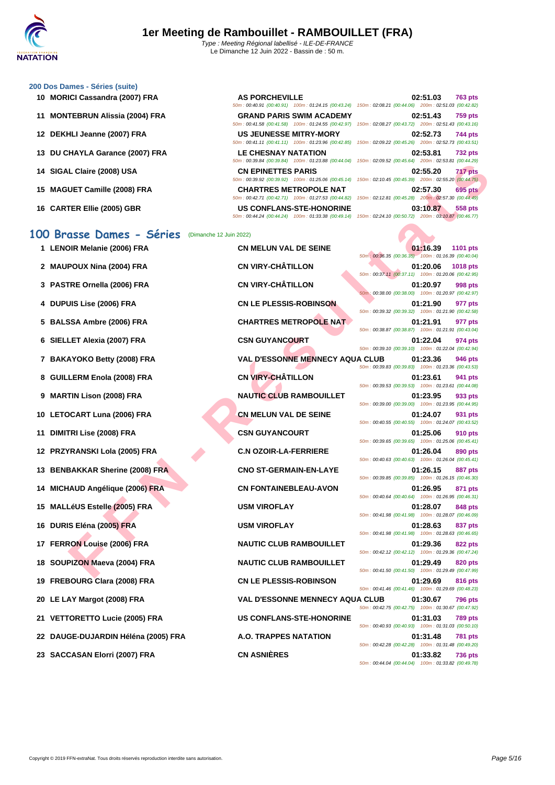50m : 00:40.91 (00:40.91) 100m : 01:24.15 (00:43.24) 150m : 02:08.21 (00:44.06) 200m : 02:51.03 (00:42.82)

50m : 00:41.58 (00:41.58) 100m : 01:24.55 (00:42.97) 150m : 02:08.27 (00:43.72) 200m : 02:51.43 (00:43.16)

50m : 00:41.11 (00:41.11) 100m : 01:23.96 (00:42.85) 150m : 02:09.22 (00:45.26) 200m : 02:52.73 (00:43.51)

50m : 00:39.84 (00:39.84) 100m : 01:23.88 (00:44.04) 150m : 02:09.52 (00:45.64) 200m : 02:53.81 (00:44.29)

50m : 00:39.92 (00:39.92) 100m : 01:25.06 (00:45.14) 150m : 02:10.45 (00:45.39) 200m : 02:55.20 (00:44.75)

#### **[200 Dos D](http://www.ffnatation.fr/webffn/index.php)ames - Séries (suite)**

- **10 MORICI Cassandra (2007) FRA AS PORCHEVILLE 02:51.03 763 pts**
- **11 MONTEBRUN Alissia (2004) FRA GRAND PARIS SWIM ACADEMY 02:51.43 759 pts**
- **12 DEKHLI Jeanne (2007) FRA US JEUNESSE MITRY-MORY 02:52.73 744 pts**
- **13 DU CHAYLA Garance (2007) FRA LE CHESNAY NATATION 02:53.81 732 pts**
- **14 SIGAL Claire (2008) USA CN EPINETTES PARIS 02:55.20 717 pts**
- **15 MAGUET Camille (2008) FRA CHARTRES METROPOLE NAT 02:57.30 695 pts**
- 

#### **100 Brasse Dames - Séries** (Dimanche 12 Juin 2022)

- 
- 
- 
- 
- 
- 
- 
- 
- 
- 
- 
- **13 BENBAKKAR Sherine (2008) FRA CNO ST-GERMAIN-EN-LAYE 01:26.15 887 pts**
- 
- 
- 
- 
- 
- 
- 
- **21 VETTORETTO Lucie (2005) FRA US CONFLANS-STE-HONORINE 01:31.03 789 pts**
- **22 DAUGE-DUJARDIN Héléna (2005) FRA A.O. TRAPPES NATATION 01:31.48 781 pts**
- 

Let Mesia (2006) FRA CHEPATES PARTS PARTS PARTS PARTS PARTS PARTS PARTS PARTS PARTS PARTS PARTS AND A CHEAR FRAMEONILLET SAME CONDITA<br>
TEL MESIA (2006) FRA CHEAR FRAMEONIC LET MANUSCRIP SAME CONDITABLE CONDITABLE CONDITAB 50m : 00:42.71 (00:42.71) 100m : 01:27.53 (00:44.82) 150m : 02:12.81 (00:45.28) 200m : 02:57.30 (00:44.49) **16 CARTER Ellie (2005) GBR US CONFLANS-STE-HONORINE 03:10.87 558 pts** 50m : 00:44.24 (00:44.24) 100m : 01:33.38 (00:49.14) 150m : 02:24.10 (00:50.72) 200m : 03:10.87 (00:46.77) **1 LENOIR Melanie (2006) FRA CN MELUN VAL DE SEINE 01:16.39 1101 pts** 50m : 00:36.35 (00:36.35) 100m : 01:16.39 (00:40.04) **2 MAUPOUX Nina (2004) FRA CN VIRY-CHÂTILLON 01:20.06 1018 pts** 50m : 00:37.11 (00:37.11) 100m : 01:20.06 (00:42.95) **3 PASTRE Ornella (2006) FRA CN VIRY-CHÂTILLON 01:20.97 998 pts** 50m : 00:38.00 (00:38.00) 100m : 01:20.97 (00:42.97) **4 DUPUIS Lise (2006) FRA CN LE PLESSIS-ROBINSON 01:21.90 977 pts** 50m : 00:39.32 (00:39.32) 100m : 01:21.90 (00:42.58) **5 BALSSA Ambre (2006) FRA CHARTRES METROPOLE NAT 01:21.91 977 pts** 50m : 00:38.87 (00:38.87) 100m : 01:21.91 (00:43.04) **6 SIELLET Alexia (2007) FRA CSN GUYANCOURT 01:22.04 974 pts** 50m : 00:39.10 (00:39.10) 100m : 01:22.04 (00:42.94) **7 BAKAYOKO Betty (2008) FRA VAL D'ESSONNE MENNECY AQUA CLUB 01:23.36 946 pts** 50m : 00:39.83 (00:39.83) 100m : 01:23.36 (00:43.53) **8 GUILLERM Enola (2008) FRA CN VIRY-CHÂTILLON 01:23.61 941 pts** 50m : 00:39.53 (00:39.53) 100m : 01:23.61 (00:44.08) **9 MARTIN Lison (2008) FRA NAUTIC CLUB RAMBOUILLET 01:23.95 933 pts** 50m : 00:39.00 (00:39.00) 100m : 01:23.95 (00:44.95) **10 LETOCART Luna (2006) FRA CN MELUN VAL DE SEINE 01:24.07 931 pts** 50m : 00:40.55 (00:40.55) 100m : 01:24.07 (00:43.52) **11 DIMITRI Lise (2008) FRA CSN GUYANCOURT 01:25.06 910 pts** 50m : 00:39.65 (00:39.65) 100m : 01:25.06 (00:45.41) **12 PRZYRANSKI Lola (2005) FRA C.N OZOIR-LA-FERRIERE 01:26.04 890 pts** 50m : 00:40.63 (00:40.63) 100m : 01:26.04 (00:45.41) 50m : 00:39.85 (00:39.85) 100m : 01:26.15 (00:46.30) **14 MICHAUD Angélique (2006) FRA CN FONTAINEBLEAU-AVON 01:26.95 871 pts** 50m : 00:40.64 (00:40.64) 100m : 01:26.95 (00:46.31) **15 MALLéUS Estelle (2005) FRA USM VIROFLAY 01:28.07 848 pts** 50m : 00:41.98 (00:41.98) 100m : 01:28.07 (00:46.09) **16 DURIS Eléna (2005) FRA USM VIROFLAY 01:28.63 837 pts** 50m : 00:41.98 (00:41.98) 100m : 01:28.63 (00:46.65) **17 FERRON Louise (2006) FRA NAUTIC CLUB RAMBOUILLET 01:29.36 822 pts** 50m : 00:42.12 (00:42.12) 100m : 01:29.36 (00:47.24) **18 SOUPIZON Maeva (2004) FRA NAUTIC CLUB RAMBOUILLET 01:29.49 820 pts** 50m : 00:41.50 (00:41.50) 100m : 01:29.49 (00:47.99) **19 FREBOURG Clara (2008) FRA CN LE PLESSIS-ROBINSON 01:29.69 816 pts** 50m : 00:41.46 (00:41.46) 100m : 01:29.69 (00:48.23) **20 LE LAY Margot (2008) FRA VAL D'ESSONNE MENNECY AQUA CLUB 01:30.67 796 pts** 50m : 00:42.75 (00:42.75) 100m : 01:30.67 (00:47.92) 50m : 00:40.93 (00:40.93) 100m : 01:31.03 (00:50.10) 50m : 00:42.28 (00:42.28) 100m : 01:31.48 (00:49.20) **23 SACCASAN Elorri (2007) FRA CN ASNIÈRES 01:33.82 736 pts** 50m : 00:44.04 (00:44.04) 100m : 01:33.82 (00:49.78)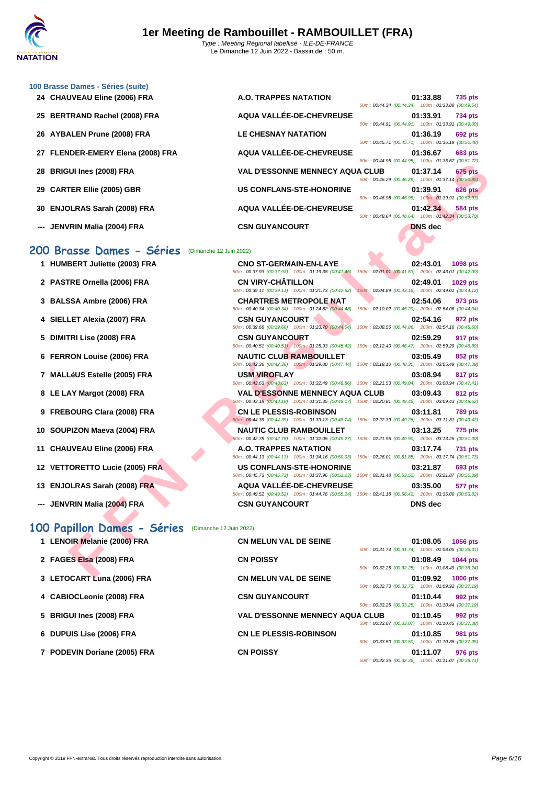| 24 CHAUVEAU Eline (2006) FRA      | <b>A.O. TRAPPES NATATION</b>                                                                                                                 | 01:33.88<br><b>735 pts</b><br>50m: 00:44.34 (00:44.34) 100m: 01:33.88 (00:49.54)                                                         |
|-----------------------------------|----------------------------------------------------------------------------------------------------------------------------------------------|------------------------------------------------------------------------------------------------------------------------------------------|
| 25 BERTRAND Rachel (2008) FRA     | AQUA VALLÉE-DE-CHEVREUSE                                                                                                                     | 01:33.91<br><b>734 pts</b><br>50m: 00:44.91 (00:44.91) 100m: 01:33.91 (00:49.00)                                                         |
| 26 AYBALEN Prune (2008) FRA       | <b>LE CHESNAY NATATION</b>                                                                                                                   | 01:36.19<br><b>692 pts</b><br>50m: 00:45.71 (00:45.71) 100m: 01:36.19 (00:50.48)                                                         |
| 27 FLENDER-EMERY Elena (2008) FRA | AQUA VALLÉE-DE-CHEVREUSE                                                                                                                     | 01:36.67<br>683 pts<br>50m: 00:44.95 (00:44.95) 100m: 01:36.67 (00:51.72)                                                                |
| 28 BRIGUI Ines (2008) FRA         | <b>VAL D'ESSONNE MENNECY AQUA CLUB</b>                                                                                                       | 675 pts<br>01:37.14<br>50m: 00:46.29 (00:46.29) 100m: 01:37.14 (00:50.85)                                                                |
| 29 CARTER Ellie (2005) GBR        | <b>US CONFLANS-STE-HONORINE</b>                                                                                                              | 01:39.91<br><b>626 pts</b><br>50m : 00:46.98 (00:46.98) 100m : 01:39.91 (00:52.93)                                                       |
| 30 ENJOLRAS Sarah (2008) FRA      | AQUA VALLÉE-DE-CHEVREUSE                                                                                                                     | 01:42.34<br>584 pts<br>50m: 00:48.64 (00:48.64) 100m: 01:42.34 (00:53.70)                                                                |
| JENVRIN Malia (2004) FRA          | <b>CSN GUYANCOURT</b>                                                                                                                        | <b>DNS</b> dec                                                                                                                           |
| 200 Brasse Dames - Séries         | (Dimanche 12 Juin 2022)                                                                                                                      |                                                                                                                                          |
|                                   |                                                                                                                                              |                                                                                                                                          |
| 1 HUMBERT Juliette (2003) FRA     | <b>CNO ST-GERMAIN-EN-LAYE</b><br>50m: 00:37.93 (00:37.93) 100m: 01:19.38 (00:41.45)                                                          | 02:43.01<br>1098 pts<br>150m: 02:01.01 (00:41.63) 200m: 02:43.01 (00:42.00)                                                              |
| 2 PASTRE Ornella (2006) FRA       | <b>CN VIRY-CHATILLON</b><br>50m: 00:39.11 (00:39.11) 100m: 01:21.73 (00:42.62)                                                               | 02:49.01<br>1029 pts<br>150m: 02:04.89 (00:43.16) 200m: 02:49.01 (00:44.12)                                                              |
| 3 BALSSA Ambre (2006) FRA         | <b>CHARTRES METROPOLE NAT</b>                                                                                                                | 02:54.06<br>973 pts<br>50m : 00:40.34 (00:40.34) 100m : 01:24.82 (00:44.48) 150m : 02:10.02 (00:45.20) 200m : 02:54.06 (00:44.04)        |
| 4 SIELLET Alexia (2007) FRA       | <b>CSN GUYANCOURT</b>                                                                                                                        | 02:54.16<br>972 pts<br>50m : 00:39.66 (00:39.66) 100m : 01:23.70 (00:44.04) 150m : 02:08.56 (00:44.86) 200m : 02:54.16 (00:45.60)        |
| 5 DIMITRI Lise (2008) FRA         | <b>CSN GUYANCOURT</b>                                                                                                                        | 02:59.29<br>917 pts<br>50m : 00:40.51 (00:40.51) 100m : 01:25.93 (00:45.42) 150m : 02:12.40 (00:46.47) 200m : 02:59.29 (00:46.89)        |
| 6 FERRON Louise (2006) FRA        | <b>NAUTIC CLUB RAMBOUILLET</b><br>50m : 00:42.36 (00:42.36) 100m : 01:29.80 (00:47.44) 150m : 02:18.10 (00:48.30) 200m : 03:05.49 (00:47.39) | 03:05.49<br>852 pts                                                                                                                      |
| 7 MALLéUS Estelle (2005) FRA      | <b>USM VIROFLAY</b>                                                                                                                          | 03:08.94<br>817 pts<br>50m: 00:43.63 (00:43.63) 100m: 01:32.49 (00:48.86) 150m: 02:21.53 (00:49.04) 200m: 03:08.94 (00:47.41)            |
| 8 LE LAY Margot (2008) FRA        | <b>VAL D'ESSONNE MENNECY AQUA CLUB</b>                                                                                                       | 03:09.43<br>812 pts<br>50m: 00:43.18 (00:43.18) 100m: 01:31.35 (00:48.17) 150m: 02:20.81 (00:49.46) 200m: 03:09.43 (00:48.62)            |
| 9 FREBOURG Clara (2008) FRA       | <b>CN LE PLESSIS-ROBINSON</b>                                                                                                                | 03:11.81<br><b>789 pts</b><br>50m : 00:44.39 (00:44.39) 100m : 01:33.13 (00:48.74) 150m : 02:22.39 (00:49.26) 200m : 03:11.81 (00:49.42) |
| 10 SOUPIZON Maeva (2004) FRA      | <b>NAUTIC CLUB RAMBOUILLET</b>                                                                                                               | 03:13.25<br>775 pts<br>60m: 00:42.78 (00:42.78) 100m: 01:32.05 (00:49.27) 150m: 02:21.95 (00:49.90) 200m: 03:13.25 (00:51.30)            |
| 11 CHAUVEAU Eline (2006) FRA      | A.O. TRAPPES NATATION                                                                                                                        | 03:17.74<br><b>731 pts</b>                                                                                                               |
| 12 VETTORETTO Lucie (2005) FRA    | 50m: 00:44.13 (00:44.13) 100m: 01:34.16 (00:50.03) 150m: 02:26.01 (00:51.85) 200m: 03:17.74 (00:51.73)<br><b>US CONFLANS-STE-HONORINE</b>    | 03:21.87<br><b>693 pts</b>                                                                                                               |
| 13 ENJOLRAS Sarah (2008) FRA      | 50m: 00:45.73 (00:45.73) 100m: 01:37.96 (00:52.23)<br><b>AQUA VALLÉE-DE-CHEVREUSE</b>                                                        | 150m: 02:31.48 (00:53.52) 200m: 03:21.87 (00:50.39)<br>03:35.00<br>577 pts                                                               |
| --- JENVRIN Malia (2004) FRA      | <b>CSN GUYANCOURT</b>                                                                                                                        | 50m : 00:49.52 (00:49.52) 100m : 01:44.76 (00:55.24) 150m : 02:41.18 (00:56.42) 200m : 03:35.00 (00:53.82)<br><b>DNS</b> dec             |
| 00 Papillon Dames - Séries        | (Dimanche 12 Juin 2022)                                                                                                                      |                                                                                                                                          |
| 1 LENOIR Melanie (2006) FRA       | <b>CN MELUN VAL DE SEINE</b>                                                                                                                 | 01:08.05<br><b>1056 pts</b><br>50m: 00:31.74 (00:31.74) 100m: 01:08.05 (00:36.31)                                                        |
| 2 FAGES Elsa (2008) FRA           | <b>CN POISSY</b>                                                                                                                             | 01:08.49<br><b>1044 pts</b>                                                                                                              |
| $0.1$ FTOOADT $1$ (0000) FDA      | ON MELIIN VAL BE OFINE                                                                                                                       | 50m: 00:32.25 (00:32.25) 100m: 01:08.49 (00:36.24)<br>04.00.00<br>$1000 - 1$                                                             |

#### **200 Brasse Dames - Séries** (Dimanche 12 Juin 2022)

|  |  | 1 HUMBERT Juliette (2003) FRA |  |  |  |
|--|--|-------------------------------|--|--|--|
|--|--|-------------------------------|--|--|--|

**[100 Brass](http://www.ffnatation.fr/webffn/index.php)e Dames - Séries (suite)**

- **2 PASTRE Ornella (2006) FRA CN VIRY-CHÂTILLON 02:49.01 02:49.01 1029 pts**<br> **100m**: 02:24.62 **150m**: 02:04.89 **(00:43.16) 200m**: 02:49.01 **(00:43.12)**
- **3 BALSSA Ambre (2006) FRA CHARTRES METROPOLE NAT 02:54.06 973 pts**
- **4 SIELLET Alexia (2007) FRA CSN GUYANCOURT 02:54.16 972 pts**
- **5 DIMITRI Lise (2008) FRA CSN GUYANCOURT 02:59.29 917 pts**
- **6 FERRON Louise (2006) FRA NAUTIC CLUB RAMBOUILLET 03:05.49 852 pts**
- **7 MALLéUS Estelle (2005) FRA USM VIROFLAY 03:08.94 817 pts**
- **8 LE LAY Margot (2008) FRA VAL D'ESSONNE MENNECY AQUA CLUB 03:09.43 812 pts**
- **9 FREBOURG Clara (2008) FRA CN LE PLESSIS-ROBINSON 03:11.81 789 pts**
- **10 SOUPIZON Maeva (2004) FRA NAUTIC CLUB RAMBOUILLET 03:13.25 775 pts**
- **11 CHAUVEAU Eline (2006) FRA A.O. TRAPPES NATATION 03:17.74 731 pts**
- **12 VETTORETTO Lucie (2005) FRA US CONFLANS-STE-HONORINE 03:21.87 693 pts**
- **13 ENJOLRAS Sarah (2008) FRA AQUA VALLÉE-DE-CHEVREUSE 03:35.00 577 pts**
- **--- JENVRIN Malia (2004) FRA CSN GUYANCOURT DNS dec**

### **100 Papillon Dames - Séries** (Dimanche 12 Juin 2022)

| 1 LENOIR Melanie (2006) FRA  | <b>CN MELUN VAL DE SEINE</b><br>01:08.05<br><b>1056 pts</b>                                                         |
|------------------------------|---------------------------------------------------------------------------------------------------------------------|
| 2 FAGES Elsa (2008) FRA      | 50m: 00:31.74 (00:31.74) 100m: 01:08.05 (00:36.31)<br><b>CN POISSY</b><br>01:08.49<br>1044 pts                      |
| 3 LETOCART Luna (2006) FRA   | 50m: 00:32.25 (00:32.25) 100m: 01:08.49 (00:36.24)<br><b>CN MELUN VAL DE SEINE</b><br>01:09.92<br><b>1006 pts</b>   |
|                              | 50m: 00:32.73 (00:32.73) 100m: 01:09.92 (00:37.19)                                                                  |
| 4 CABIOCLeonie (2008) FRA    | <b>CSN GUYANCOURT</b><br>01:10.44<br>992 pts<br>50m: 00:33.25 (00:33.25) 100m: 01:10.44 (00:37.19)                  |
| 5 BRIGUI Ines (2008) FRA     | <b>VAL D'ESSONNE MENNECY AQUA CLUB</b><br>01:10.45<br>992 pts<br>50m: 00:33.07 (00:33.07) 100m: 01:10.45 (00:37.38) |
| 6 DUPUIS Lise (2006) FRA     | <b>CN LE PLESSIS-ROBINSON</b><br>01:10.85<br>981 pts<br>50m: 00:33.50 (00:33.50) 100m: 01:10.85 (00:37.35)          |
| 7 PODEVIN Doriane (2005) FRA | <b>CN POISSY</b><br>01:11.07<br>976 pts<br>50m: 00:32.36 (00:32.36) 100m: 01:11.07 (00:38.71)                       |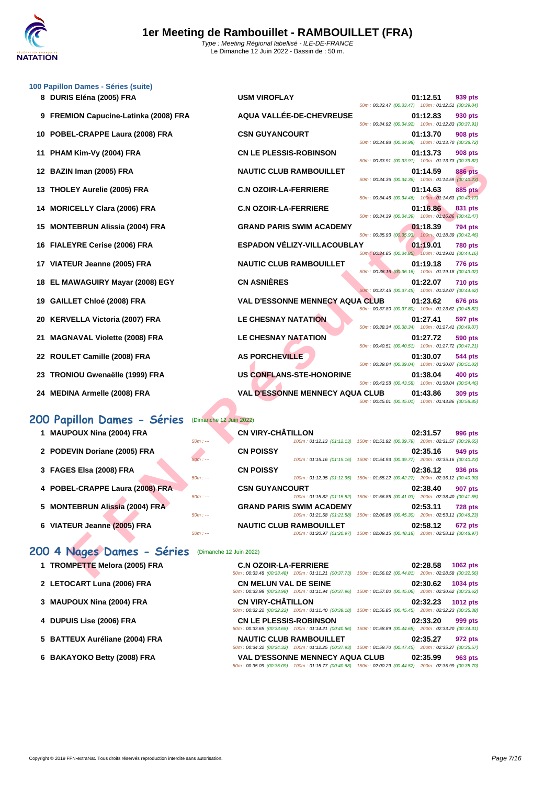

|    | 100 Papillon Dames - Séries (suite)<br>8 DURIS Eléna (2005) FRA | <b>USM VIROFLAY</b>                    | 01:12.51<br>939 pts                                                                                                            |
|----|-----------------------------------------------------------------|----------------------------------------|--------------------------------------------------------------------------------------------------------------------------------|
|    | 9 FREMION Capucine-Latinka (2008) FRA                           | AQUA VALLÉE-DE-CHEVREUSE               | 50m: 00:33.47 (00:33.47) 100m: 01:12.51 (00:39.04)<br>01:12.83<br>930 pts                                                      |
| 10 | POBEL-CRAPPE Laura (2008) FRA                                   | <b>CSN GUYANCOURT</b>                  | 50m: 00:34.92 (00:34.92) 100m: 01:12.83 (00:37.91)<br>01:13.70<br><b>908 pts</b>                                               |
| 11 | PHAM Kim-Vy (2004) FRA                                          | <b>CN LE PLESSIS-ROBINSON</b>          | 50m: 00:34.98 (00:34.98) 100m: 01:13.70 (00:38.72)<br>01:13.73<br>908 pts                                                      |
| 12 | BAZIN Iman (2005) FRA                                           | <b>NAUTIC CLUB RAMBOUILLET</b>         | 50m: 00:33.91 (00:33.91) 100m: 01:13.73 (00:39.82)<br>01:14.59<br>886 pts                                                      |
| 13 | <b>THOLEY Aurelie (2005) FRA</b>                                | <b>C.N OZOIR-LA-FERRIERE</b>           | 50m: 00:34.36 (00:34.36) 100m: 01:14.59 (00:40.23)<br>01:14.63<br>885 pts                                                      |
| 14 | <b>MORICELLY Clara (2006) FRA</b>                               | <b>C.N OZOIR-LA-FERRIERE</b>           | 50m: 00:34.46 (00:34.46) 100m: 01:14.63 (00:40.17)<br>01:16.86<br>831 pts                                                      |
|    | 15 MONTEBRUN Alissia (2004) FRA                                 | <b>GRAND PARIS SWIM ACADEMY</b>        | 50m: 00:34.39 (00:34.39) 100m: 01:16.86 (00:42.47)<br>01:18.39<br>794 pts                                                      |
| 16 | <b>FIALEYRE Cerise (2006) FRA</b>                               | <b>ESPADON VÉLIZY-VILLACOUBLAY</b>     | 50m: 00:35.93 (00:35.93) 100m: 01:18.39 (00:42.46)<br>01:19.01<br><b>780 pts</b>                                               |
|    | 17 VIATEUR Jeanne (2005) FRA                                    | <b>NAUTIC CLUB RAMBOUILLET</b>         | 50m: 00:34.85 (00:34.85) 100m: 01:19.01 (00:44.16)<br>01:19.18<br>776 pts                                                      |
|    | 18 EL MAWAGUIRY Mayar (2008) EGY                                | <b>CN ASNIÈRES</b>                     | 50m: 00:36.16 (00:36.16) 100m: 01:19.18 (00:43.02)<br>01:22.07<br>710 pts                                                      |
| 19 | <b>GAILLET Chloé (2008) FRA</b>                                 | <b>VAL D'ESSONNE MENNECY AQUA CLUB</b> | 50m: 00:37.45 (00:37.45) 100m: 01:22.07 (00:44.62)<br>01:23.62<br>676 pts                                                      |
| 20 | <b>KERVELLA Victoria (2007) FRA</b>                             | <b>LE CHESNAY NATATION</b>             | 50m: 00:37.80 (00:37.80) 100m: 01:23.62 (00:45.82)<br>01:27.41<br><b>597 pts</b>                                               |
| 21 | <b>MAGNAVAL Violette (2008) FRA</b>                             | <b>LE CHESNAY NATATION</b>             | 50m: 00:38.34 (00:38.34) 100m: 01:27.41 (00:49.07)<br>01:27.72<br>590 pts                                                      |
|    | 22 ROULET Camille (2008) FRA                                    | <b>AS PORCHEVILLE</b>                  | 50m: 00:40.51 (00:40.51) 100m: 01:27.72 (00:47.21)<br>01:30.07<br>544 pts                                                      |
| 23 | TRONIOU Gwenaëlle (1999) FRA                                    | <b>US CONFLANS-STE-HONORINE</b>        | 50m: 00:39.04 (00:39.04) 100m: 01:30.07 (00:51.03)<br>01:38.04<br>400 pts                                                      |
|    | 24 MEDINA Armelle (2008) FRA                                    | <b>VAL D'ESSONNE MENNECY AQUA CLUB</b> | 50m: 00:43.58 (00:43.58) 100m: 01:38.04 (00:54.46)<br>01:43.86<br>309 pts                                                      |
|    |                                                                 |                                        | 50m: 00:45.01 (00:45.01) 100m: 01:43.86 (00:58.85)                                                                             |
|    | 200 Papillon Dames - Séries                                     | (Dimanche 12 Juin 2022)                |                                                                                                                                |
|    | 1 MAUPOUX Nina (2004) FRA<br>$50m: -$                           | <b>CN VIRY-CHÂTILLON</b>               | 02:31.57<br>996 pts<br>100m: 01:12.13 (01:12.13) 150m: 01:51.92 (00:39.79) 200m: 02:31.57 (00:39.65)                           |
|    | 2 PODEVIN Doriane (2005) FRA<br>$50m: -$                        | <b>CN POISSY</b>                       | 02:35.16<br>949 pts<br>100m: 01:15.16 (01:15.16) 150m: 01:54.93 (00:39.77) 200m: 02:35.16 (00:40.23)                           |
|    | 3 FAGES Elsa (2008) FRA                                         | <b>CN POISSY</b>                       | 02:36.12<br>936 pts                                                                                                            |
|    | $50m: -$<br>4 POBEL-CRAPPE Laura (2008) FRA                     | <b>CSN GUYANCOURT</b>                  | 100m: 01:12.95 (01:12.95) 150m: 01:55.22 (00:42.27) 200m: 02:36.12 (00:40.90)<br>02:38.40<br>907 pts                           |
|    | $50m: -$<br>5 MONTEBRUN Alissia (2004) FRA                      | <b>GRAND PARIS SWIM ACADEMY</b>        | 100m: 01:15.82 (01:15.82) 150m: 01:56.85 (00:41.03) 200m: 02:38.40 (00:41.55)<br>02:53.11<br>728 pts                           |
|    | $50m: -$<br>6 VIATEUR Jeanne (2005) FRA                         | <b>NAUTIC CLUB RAMBOUILLET</b>         | 100m: 01:21.58 (01:21.58) 150m: 02:06.88 (00:45.30) 200m: 02:53.11 (00:46.23)<br>02:58.12<br>672 pts                           |
|    | $50m: -$                                                        |                                        | 100m: 01:20.97 (01:20.97) 150m: 02:09.15 (00:48.18) 200m: 02:58.12 (00:48.97)                                                  |
|    | 200 4 Nages Dames - Séries                                      | (Dimanche 12 Juin 2022)                |                                                                                                                                |
|    | 1 TROMPETTE Melora (2005) FRA                                   | <b>C.N OZOIR-LA-FERRIERE</b>           | 02:28.58<br>1062 pts<br>50m: 00:33.48 (00:33.48) 100m: 01:11.21 (00:37.73) 150m: 01:56.02 (00:44.81) 200m: 02:28.58 (00:32.56) |

- 
- 

#### 200 Papillon Dames - Séries (Dimanche 12 Jui

- 
- 
- 
- 

- 
- 

|                                 |                         |                            |                                                                               | 50m: 00:37.45 (00:37.45) 100m: 01:22.07 (00:44.62) |          |                |
|---------------------------------|-------------------------|----------------------------|-------------------------------------------------------------------------------|----------------------------------------------------|----------|----------------|
| 19 GAILLET Chloé (2008) FRA     |                         |                            | <b>VAL D'ESSONNE MENNECY AQUA CLUB</b>                                        | 50m: 00:37.80 (00:37.80) 100m: 01:23.62 (00:45.82) | 01:23.62 | <b>676 pts</b> |
| 20 KERVELLA Victoria (2007) FRA |                         | <b>LE CHESNAY NATATION</b> |                                                                               | 50m: 00:38.34 (00:38.34) 100m: 01:27.41 (00:49.07) | 01:27.41 | <b>597 pts</b> |
| 21 MAGNAVAL Violette (2008) FRA |                         | <b>LE CHESNAY NATATION</b> |                                                                               | 50m: 00:40.51 (00:40.51) 100m: 01:27.72 (00:47.21) | 01:27.72 | <b>590 pts</b> |
| 22 ROULET Camille (2008) FRA    |                         | <b>AS PORCHEVILLE</b>      |                                                                               | 50m: 00:39.04 (00:39.04) 100m: 01:30.07 (00:51.03) | 01:30.07 | 544 pts        |
| 23 TRONIOU Gwenaëlle (1999) FRA |                         |                            | US CONFLANS-STE-HONORINE                                                      | 50m: 00:43.58 (00:43.58) 100m: 01:38.04 (00:54.46) | 01:38.04 | 400 pts        |
| 24 MEDINA Armelle (2008) FRA    |                         |                            | <b>VAL D'ESSONNE MENNECY AQUA CLUB</b>                                        | 50m: 00:45.01 (00:45.01) 100m: 01:43.86 (00:58.85) | 01:43.86 | 309 pts        |
| 00 Papillon Dames - Séries      | (Dimanche 12 Juin 2022) |                            |                                                                               |                                                    |          |                |
| 1 MAUPOUX Nina (2004) FRA       | $50m: -$                | <b>CN VIRY-CHÂTILLON</b>   | 100m: 01:12.13 (01:12.13) 150m: 01:51.92 (00:39.79) 200m: 02:31.57 (00:39.65) |                                                    | 02:31.57 | 996 pts        |
| 2 PODEVIN Doriane (2005) FRA    | $50m: -$                | <b>CN POISSY</b>           | 100m: 01:15.16 (01:15.16) 150m: 01:54.93 (00:39.77) 200m: 02:35.16 (00:40.23) |                                                    | 02:35.16 | 949 pts        |
| 3 FAGES Elsa (2008) FRA         | $50m: -$                | <b>CN POISSY</b>           | 100m: 01:12.95 (01:12.95) 150m: 01:55.22 (00:42.27) 200m: 02:36.12 (00:40.90) |                                                    | 02:36.12 | 936 pts        |
| 4 POBEL-CRAPPE Laura (2008) FRA |                         | <b>CSN GUYANCOURT</b>      |                                                                               |                                                    | 02:38.40 | <b>907 pts</b> |

**1 TROMPETTE Melora (2005) FRA C.N OZOIR-LA-FERRIERE 02:28.58 1062 pts** 50m : 00:33.48 (00:33.48) 100m : 01:11.21 (00:37.73) 150m : 01:56.02 (00:44.81) 200m : 02:28.58 (00:32.56) **2 LETOCART Luna (2006) FRA CN MELUN VAL DE SEINE 02:30.62 1034 pts** 50m : 00:33.98 (00:33.98) 100m : 01:11.94 (00:37.96) 150m : 01:57.00 (00:45.06) 200m : 02:30.62 (00:33.62) **3 [MAUPOUX Nina \(2004\) FRA](http://www.ffnatation.fr/webffn/resultats.php?idact=nat&go=epr&idcpt=78297&idepr=41) CN VIRY-CHÂTILLON 02:32.23 1012 pts** 50m : 00:32.22 (00:32.22) 100m : 01:11.40 (00:39.18) 150m : 01:56.85 (00:45.45) 200m : 02:32.23 (00:35.38) **4 DUPUIS Lise (2006) FRA CN LE PLESSIS-ROBINSON 02:33.20 999 pts** 50m : 00:33.65 (00:33.65) 100m : 01:14.21 (00:40.56) 150m : 01:58.89 (00:44.68) 200m : 02:33.20 (00:34.31) **5 BATTEUX Auréliane (2004) FRA NAUTIC CLUB RAMBOUILLET 02:35.27 972 pts** 50m : 00:34.32 (00:34.32) 100m : 01:12.25 (00:37.93) 150m : 01:59.70 (00:47.45) 200m : 02:35.27 (00:35.57) **6 BAKAYOKO Betty (2008) FRA VAL D'ESSONNE MENNECY AQUA CLUB 02:35.99 963 pts** 50m : 00:35.09 (00:35.09) 100m : 01:15.77 (00:40.68) 150m : 02:00.29 (00:44.52) 200m : 02:35.99 (00:35.70)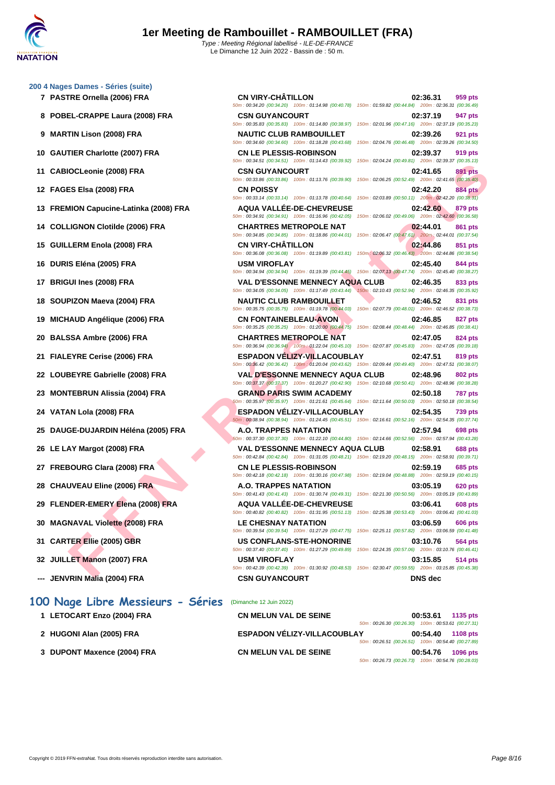**[200 4 Nag](http://www.ffnatation.fr/webffn/index.php)es Dames - Séries (suite)**

| 7 PASTRE Ornella (2006) FRA            | <b>CN VIRY-CHÂTILLON</b><br>50m: 00:34.20 (00:34.20) 100m: 01:14.98 (00:40.78) 150m: 01:59.82 (00:44.84) 200m: 02:36.31 (00:36.49)                   | 02:36.31<br>959 pts        |
|----------------------------------------|------------------------------------------------------------------------------------------------------------------------------------------------------|----------------------------|
| 8 POBEL-CRAPPE Laura (2008) FRA        | <b>CSN GUYANCOURT</b><br>50m: 00:35.83 (00:35.83) 100m: 01:14.80 (00:38.97) 150m: 02:01.96 (00:47.16) 200m: 02:37.19 (00:35.23)                      | 02:37.19<br>947 pts        |
| 9 MARTIN Lison (2008) FRA              | <b>NAUTIC CLUB RAMBOUILLET</b><br>50m : 00:34.60 (00:34.60) 100m : 01:18.28 (00:43.68) 150m : 02:04.76 (00:46.48) 200m : 02:39.26 (00:34.50)         | 02:39.26<br><b>921 pts</b> |
| 10 GAUTIER Charlotte (2007) FRA        | <b>CN LE PLESSIS-ROBINSON</b><br>50m: 00:34.51 (00:34.51) 100m: 01:14.43 (00:39.92) 150m: 02:04.24 (00:49.81) 200m: 02:39.37 (00:35.13)              | 02:39.37<br>919 pts        |
| 11 CABIOCLeonie (2008) FRA             | <b>CSN GUYANCOURT</b><br>50m : 00:33.86 (00:33.86) 100m : 01:13.76 (00:39.90) 150m : 02:06.25 (00:52.49) 200m : 02:41.65 (00:35.40)                  | 891 pts<br>02:41.65        |
| 12 FAGES Elsa (2008) FRA               | <b>CN POISSY</b><br>50m: 00:33.14 (00:33.14) 100m: 01:13.78 (00:40.64) 150m: 02:03.89 (00:50.11) 200m: 02:42.20 (00:38.31)                           | 02:42.20<br><b>884 pts</b> |
| 13 FREMION Capucine-Latinka (2008) FRA | <b>AQUA VALLEE-DE-CHEVREUSE</b><br>50m : 00:34.91 (00:34.91) 100m : 01:16.96 (00:42.05) 150m : 02:06.02 (00:49.06) 200m : 02:42.60 (00:36.58)        | 02:42.60<br>879 pts        |
| 14 COLLIGNON Clotilde (2006) FRA       | <b>CHARTRES METROPOLE NAT</b><br>50m: 00:34.85 (00:34.85) 100m: 01:18.86 (00:44.01) 150m: 02:06.47 (00:47.61) 200m: 02:44.01 (00:37.54)              | 02:44.01<br>861 pts        |
| 15 GUILLERM Enola (2008) FRA           | <b>CN VIRY-CHATILLON</b><br>50m : 00:36.08 (00:36.08) 100m : 01:19.89 (00:43.81) 150m : 02:06.32 (00:46.43) 200m : 02:44.86 (00:38.54)               | 02:44.86<br>851 pts        |
| 16 DURIS Eléna (2005) FRA              | <b>USM VIROFLAY</b><br>50m : 00:34.94 (00:34.94) 100m : 01:19.39 (00:44.45) 150m : 02:07.13 (00:47.74) 200m : 02:45.40 (00:38.27)                    | 02:45.40<br>844 pts        |
| 17 BRIGUI Ines (2008) FRA              | <b>VAL D'ESSONNE MENNECY AQUA CLUB</b><br>50m : 00:34.05 (00:34.05) 100m : 01:17.49 (00:43.44) 150m : 02:10.43 (00:52.94) 200m : 02:46.35 (00:35.92) | 02:46.35<br>833 pts        |
| 18 SOUPIZON Maeva (2004) FRA           | <b>NAUTIC CLUB RAMBOUILLET</b><br>50m : 00:35.75 (00:35.75) 100m : 01:19.78 (00:44.03) 150m : 02:07.79 (00:48.01) 200m : 02:46.52 (00:38.73)         | 02:46.52<br>831 pts        |
| 19 MICHAUD Angélique (2006) FRA        | <b>CN FONTAINEBLEAU-AVON</b><br>50m : 00:35.25 (00:35.25) 100m : 01:20.00 (00:44.75) 150m : 02:08.44 (00:48.44) 200m : 02:46.85 (00:38.41)           | 02:46.85<br><b>827 pts</b> |
| 20 BALSSA Ambre (2006) FRA             | <b>CHARTRES METROPOLE NAT</b><br>50m : 00:36.94 (00:36.94) 100m : 01:22.04 (00:45.10) 150m : 02:07.87 (00:45.83) 200m : 02:47.05 (00:39.18)          | 02:47.05<br>824 pts        |
| 21 FIALEYRE Cerise (2006) FRA          | <b>ESPADON VELIZY-VILLACOUBLAY</b><br>50m : 00:36.42 (00:36.42) 100m : 01:20.04 (00:43.62) 150m : 02:09.44 (00:49.40) 200m : 02:47.51 (00:38.07)     | 02:47.51<br>819 pts        |
| 22 LOUBEYRE Gabrielle (2008) FRA       | <b>VAL D'ESSONNE MENNECY AQUA CLUB</b><br>50m: 00:37.37 (00:37.37) 100m: 01:20.27 (00:42.90) 150m: 02:10.68 (00:50.41) 200m: 02:48.96 (00:38.28)     | <b>802 pts</b><br>02:48.96 |
| 23 MONTEBRUN Alissia (2004) FRA        | <b>GRAND PARIS SWIM ACADEMY</b><br>50m : 00:35.97 (00:35.97) 100m : 01:21.61 (00:45.64) 150m : 02:11.64 (00:50.03) 200m : 02:50.18 (00:38.54)        | <b>787 pts</b><br>02:50.18 |
| 24 VATAN Lola (2008) FRA               | <b>ESPADON VELIZY-VILLACOUBLAY</b><br>50m: 00:38.94 (00:38.94) 100m: 01:24.45 (00:45.51) 150m: 02:16.61 (00:52.16) 200m: 02:54.35 (00:37.74)         | 02:54.35<br><b>739 pts</b> |
| 25 DAUGE-DUJARDIN Héléna (2005) FRA    | A.O. TRAPPES NATATION<br>60m: 00:37.30 (00:37.30) 100m: 01:22.10 (00:44.80) 150m: 02:14.66 (00:52.56) 200m: 02:57.94 (00:43.28)                      | 02:57.94<br>698 pts        |
| 26 LE LAY Margot (2008) FRA            | <b>VAL D'ESSONNE MENNECY AQUA CLUB</b><br>50m: 00:42.84 (00:42.84) 100m: 01:31.05 (00:48.21) 150m: 02:19.20 (00:48.15) 200m: 02:58.91 (00:39.71)     | 02:58.91<br><b>688 pts</b> |
| 27 FREBOURG Clara (2008) FRA           | <b>CN LE PLESSIS-ROBINSON</b><br>50m : 00:42.18 (00:42.18) 100m : 01:30.16 (00:47.98) 150m : 02:19.04 (00:48.88) 200m : 02:59.19 (00:40.15)          | 02:59.19<br><b>685 pts</b> |
| 28 CHAUVEAU Eline (2006) FRA           | A.O. TRAPPES NATATION<br>50m: 00:41.43 (00:41.43) 100m: 01:30.74 (00:49.31) 150m: 02:21.30 (00:50.56) 200m: 03:05.19 (00:43.89)                      | 03:05.19<br><b>620 pts</b> |
| 29 FLENDER-EMERY Elena (2008) FRA      | <b>AQUA VALLEE-DE-CHEVREUSE</b><br>50m: 00:40.82 (00:40.82) 100m: 01:31.95 (00:51.13) 150m: 02:25.38 (00:53.43) 200m: 03:06.41 (00:41.03)            | 03:06.41<br><b>608 pts</b> |
| 30 MAGNAVAL Violette (2008) FRA        | <b>LE CHESNAY NATATION</b><br>50m: 00:39.54 (00:39.54) 100m: 01:27.29 (00:47.75) 150m: 02:25.11 (00:57.82) 200m: 03:06.59 (00:41.48)                 | 03:06.59<br><b>606 pts</b> |
| 31 CARTER Ellie (2005) GBR             | <b>US CONFLANS-STE-HONORINE</b><br>50m : 00:37.40 (00:37.40) 100m : 01:27.29 (00:49.89) 150m : 02:24.35 (00:57.06) 200m : 03:10.76 (00:46.41)        | 03:10.76<br>564 pts        |
| 32 JUILLET Manon (2007) FRA            | <b>USM VIROFLAY</b><br>50m : 00:42.39 (00:42.39) 100m : 01:30.92 (00:48.53) 150m : 02:30.47 (00:59.55) 200m : 03:15.85 (00:45.38)                    | 03:15.85<br>514 pts        |
| <b>IFMUDIMEMADA (0004) FBA</b>         | CON OUVANCOUDT                                                                                                                                       | <b>DAIO</b> des            |

**--- JENVRIN Malia (2004) FRA CSN GUYANCOURT DNS dec**

## **100 Nage Libre Messieurs - Séries** (Dimanche 12 Juin 2022)

| 1 LETOCART Enzo (2004) FRA  | <b>CN MELUN VAL DE SEINE</b>       |                                                    | 00:53.61 | 1135 pts |
|-----------------------------|------------------------------------|----------------------------------------------------|----------|----------|
|                             |                                    | 50m: 00:26.30 (00:26.30) 100m: 00:53.61 (00:27.31) |          |          |
| 2 HUGONI Alan (2005) FRA    | <b>ESPADON VÉLIZY-VILLACOUBLAY</b> |                                                    | 00:54.40 | 1108 pts |
|                             |                                    | 50m: 00:26.51 (00:26.51) 100m: 00:54.40 (00:27.89) |          |          |
| 3 DUPONT Maxence (2004) FRA | <b>CN MELUN VAL DE SEINE</b>       |                                                    | 00:54.76 | 1096 pts |
|                             |                                    | 50m: 00:26.73 (00:26.73) 100m: 00:54.76 (00:28.03) |          |          |

| <b>CSN GUYANCOURT</b>          |                                                                                                                                           |                                                     | 02:41.65 | <b>891 pts</b> |
|--------------------------------|-------------------------------------------------------------------------------------------------------------------------------------------|-----------------------------------------------------|----------|----------------|
|                                | 50m: 00:33.86 (00:33.86) 100m: 01:13.76 (00:39.90) 150m: 02:06.25 (00:52.49) 200m: 02:41.65 (00:35.40)                                    |                                                     |          |                |
| <b>CN POISSY</b>               |                                                                                                                                           |                                                     | 02:42.20 | <b>884 pts</b> |
|                                | 50m: 00:33.14 (00:33.14) 100m: 01:13.78 (00:40.64)                                                                                        | 150m: 02:03.89 (00:50.11) 200m: 02:42.20 (00:38.31) |          |                |
|                                | <b>AQUA VALLÉE-DE-CHEVREUSE</b>                                                                                                           |                                                     | 02:42.60 | 879 pts        |
|                                | 50m: 00:34.91 (00:34.91) 100m: 01:16.96 (00:42.05)                                                                                        | 150m: 02:06.02 (00:49.06) 200m: 02:42.60 (00:36.58) |          |                |
| <b>CHARTRES METROPOLE NAT</b>  |                                                                                                                                           |                                                     | 02:44.01 | 861 pts        |
|                                | 50m: 00:34.85 (00:34.85) 100m: 01:18.86 (00:44.01) 150m: 02:06.47 (00:47.61) 200m: 02:44.01 (00:37.54)                                    |                                                     |          |                |
| <b>CN VIRY-CHÂTILLON</b>       |                                                                                                                                           |                                                     | 02:44.86 | <b>851 pts</b> |
|                                | 50m: 00:36.08 (00:36.08) 100m: 01:19.89 (00:43.81) 150m: 02:06.32 (00:46.43) 200m: 02:44.86 (00:38.54)                                    |                                                     |          |                |
| <b>USM VIROFLAY</b>            |                                                                                                                                           |                                                     | 02:45.40 | 844 pts        |
|                                | 50m: 00:34.94 (00:34.94) 100m: 01:19.39 (00:44.45) 150m: 02:07.13 (00:47.74) 200m: 02:45.40 (00:38.27)                                    |                                                     |          |                |
|                                | <b>VAL D'ESSONNE MENNECY AQUA CLUB</b><br>50m: 00:34.05 (00:34.05) 100m: 01:17.49 (00:43.44)                                              |                                                     | 02:46.35 | 833 pts        |
|                                |                                                                                                                                           | 150m: 02:10.43 (00:52.94) 200m: 02:46.35 (00:35.92) |          |                |
| <b>NAUTIC CLUB RAMBOUILLET</b> | 50m: 00:35.75 (00:35.75) 100m: 01:19.78 (00:44.03) 150m: 02:07.79 (00:48.01) 200m: 02:46.52 (00:38.73)                                    |                                                     | 02:46.52 | 831 pts        |
|                                |                                                                                                                                           |                                                     |          |                |
| <b>CN FONTAINEBLEAU-AVON</b>   | 50m: 00:35.25 (00:35.25) 100m: 01:20.00 (00:44.75)                                                                                        | 150m: 02:08.44 (00:48.44) 200m: 02:46.85 (00:38.41) | 02:46.85 | 827 pts        |
| <b>CHARTRES METROPOLE NAT</b>  |                                                                                                                                           |                                                     | 02:47.05 | 824 pts        |
|                                | 50m: 00:36.94 (00:36.94) 100m: 01:22.04 (00:45.10)                                                                                        | 150m: 02:07.87 (00:45.83) 200m: 02:47.05 (00:39.18) |          |                |
|                                | <b>ESPADON VÉLIZY-VILLACOUBLAY</b>                                                                                                        |                                                     | 02:47.51 | 819 pts        |
|                                | 50m: 00:36.42 (00:36.42) 100m: 01:20.04 (00:43.62) 150m: 02:09.44 (00:49.40) 200m: 02:47.51 (00:38.07)                                    |                                                     |          |                |
|                                | <b>VAL D'ESSONNE MENNECY AQUA CLUB</b>                                                                                                    |                                                     | 02:48.96 | 802 pts        |
|                                | 50m: 00:37.37 (00:37.37) 100m: 01:20.27 (00:42.90) 150m: 02:10.68 (00:50.41) 200m: 02:48.96 (00:38.28)                                    |                                                     |          |                |
|                                | <b>GRAND PARIS SWIM ACADEMY</b>                                                                                                           |                                                     | 02:50.18 | 787 pts        |
|                                | 50m: 00:35.97 (00:35.97) 100m: 01:21.61 (00:45.64) 150m: 02:11.64 (00:50.03) 200m: 02:50.18 (00:38.54)                                    |                                                     |          |                |
|                                | <b>ESPADON VÉLIZY-VILLACOUBLAY</b>                                                                                                        |                                                     | 02:54.35 | <b>739 pts</b> |
|                                | 50m: 00:38.94 (00:38.94) 100m: 01:24.45 (00:45.51) 150m: 02:16.61 (00:52.16) 200m: 02:54.35 (00:37.74)                                    |                                                     |          |                |
| <b>A.O. TRAPPES NATATION</b>   |                                                                                                                                           |                                                     | 02:57.94 | 698 pts        |
|                                | 60m: 00:37.30 (00:37.30) 100m: 01:22.10 (00:44.80) 150m: 02:14.66 (00:52.56) 200m: 02:57.94 (00:43.28)                                    |                                                     |          |                |
|                                | <b>VAL D'ESSONNE MENNECY AQUA CLUB</b>                                                                                                    |                                                     | 02:58.91 | <b>688 pts</b> |
|                                | 50m: 00:42.84 (00:42.84) 100m: 01:31.05 (00:48.21) 150m: 02:19.20 (00:48.15) 200m: 02:58.91 (00:39.71)                                    |                                                     |          |                |
| <b>CN LE PLESSIS-ROBINSON</b>  |                                                                                                                                           |                                                     | 02:59.19 | <b>685 pts</b> |
|                                | 50m: 00:42.18 (00:42.18) 100m: 01:30.16 (00:47.98) 150m: 02:19.04 (00:48.88) 200m: 02:59.19 (00:40.15)                                    |                                                     |          |                |
| <b>A.O. TRAPPES NATATION</b>   |                                                                                                                                           |                                                     | 03:05.19 | 620 pts        |
|                                | 50m: 00:41.43 (00:41.43) 100m: 01:30.74 (00:49.31)                                                                                        | 150m: 02:21.30 (00:50.56) 200m: 03:05.19 (00:43.89) |          |                |
|                                | AQUA VALLÉE-DE-CHEVREUSE                                                                                                                  |                                                     | 03:06.41 | <b>608 pts</b> |
|                                | 50m: 00:40.82 (00:40.82) 100m: 01:31.95 (00:51.13)                                                                                        | 150m: 02:25.38 (00:53.43) 200m: 03:06.41 (00:41.03) |          |                |
| <b>LE CHESNAY NATATION</b>     | 50m: 00:39.54 (00:39.54) 100m: 01:27.29 (00:47.75)                                                                                        | 150m: 02:25.11 (00:57.82) 200m: 03:06.59 (00:41.48) | 03:06.59 | <b>606 pts</b> |
|                                |                                                                                                                                           |                                                     |          |                |
|                                | <b>US CONFLANS-STE-HONORINE</b><br>50m: 00:37.40 (00:37.40) 100m: 01:27.29 (00:49.89) 150m: 02:24.35 (00:57.06) 200m: 03:10.76 (00:46.41) |                                                     | 03:10.76 | <b>564 pts</b> |
|                                |                                                                                                                                           |                                                     |          |                |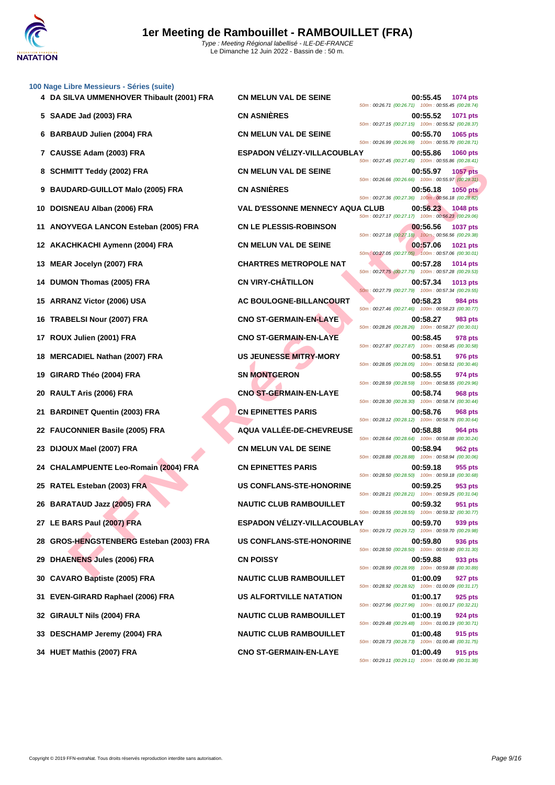**[100 Nage](http://www.ffnatation.fr/webffn/index.php) Libre Messieurs - Séries (suite)**

|    |                                           |                                        | 50m: 00:26.71 (00:26.71) 100m: 00:55.45 (00:28.74)                                 |
|----|-------------------------------------------|----------------------------------------|------------------------------------------------------------------------------------|
|    | 5 SAADE Jad (2003) FRA                    | <b>CN ASNIÈRES</b>                     | 00:55.52<br><b>1071 pts</b><br>50m: 00:27.15 (00:27.15) 100m: 00:55.52 (00:28.37)  |
| 6  | <b>BARBAUD Julien (2004) FRA</b>          | <b>CN MELUN VAL DE SEINE</b>           | 00:55.70<br>1065 pts<br>50m : 00:26.99 (00:26.99) 100m : 00:55.70 (00:28.71)       |
| 7  | CAUSSE Adam (2003) FRA                    | <b>ESPADON VÉLIZY-VILLACOUBLAY</b>     | 00:55.86<br><b>1060 pts</b><br>50m: 00:27.45 (00:27.45) 100m: 00:55.86 (00:28.41)  |
| 8  | <b>SCHMITT Teddy (2002) FRA</b>           | <b>CN MELUN VAL DE SEINE</b>           | 00:55.97<br><b>1057 pts</b><br>50m: 00:26.66 (00:26.66) 100m: 00:55.97 (00:29.31)  |
| 9  | <b>BAUDARD-GUILLOT Malo (2005) FRA</b>    | <b>CN ASNIÈRES</b>                     | 00:56.18<br><b>1050 pts</b><br>50m: 00:27.36 (00:27.36) 100m: 00:56.18 (00:28.82)  |
| 10 | DOISNEAU Alban (2006) FRA                 | <b>VAL D'ESSONNE MENNECY AQUA CLUB</b> | 00:56.23<br><b>1048 pts</b>                                                        |
| 11 | ANOYVEGA LANCON Esteban (2005) FRA        | <b>CN LE PLESSIS-ROBINSON</b>          | 50m: 00:27.17 (00:27.17) 100m: 00:56.23 (00:29.06)<br>00:56.56<br><b>1037 pts</b>  |
| 12 | AKACHKACHI Aymenn (2004) FRA              | <b>CN MELUN VAL DE SEINE</b>           | 50m: 00:27.18 (00:27.18) 100m: 00:56.56 (00:29.38)<br>00:57.06<br><b>1021 pts</b>  |
| 13 | MEAR Jocelyn (2007) FRA                   | <b>CHARTRES METROPOLE NAT</b>          | 50m: 00:27.05 (00:27.05) 100m: 00:57.06 (00:30.01)<br>00:57.28<br><b>1014 pts</b>  |
| 14 | DUMON Thomas (2005) FRA                   | <b>CN VIRY-CHÂTILLON</b>               | 50m: 00:27.75 (00:27.75) 100m: 00:57.28 (00:29.53)<br>00:57.34<br>1013 pts         |
| 15 | <b>ARRANZ Victor (2006) USA</b>           | AC BOULOGNE-BILLANCOURT                | 50m: 00:27.79 (00:27.79) 100m: 00:57.34 (00:29.55)<br>00:58.23<br>984 pts          |
| 16 | <b>TRABELSI Nour (2007) FRA</b>           | <b>CNO ST-GERMAIN-EN-LAYE</b>          | 50m: 00:27.46 (00:27.46) 100m: 00:58.23 (00:30.77)<br>00:58.27<br>983 pts          |
|    | 17 ROUX Julien (2001) FRA                 | <b>CNO ST-GERMAIN-EN-LAYE</b>          | 50m: 00:28.26 (00:28.26) 100m: 00:58.27 (00:30.01)<br>00:58.45<br>978 pts          |
| 18 | <b>MERCADIEL Nathan (2007) FRA</b>        | US JEUNESSE MITRY-MORY                 | 50m: 00:27.87 (00:27.87) 100m: 00:58.45 (00:30.58)<br>00:58.51<br>976 pts          |
| 19 | GIRARD Théo (2004) FRA                    | <b>SN MONTGERON</b>                    | 50m: 00:28.05 (00:28.05) 100m: 00:58.51 (00:30.46)<br>00:58.55<br>974 pts          |
| 20 | RAULT Aris (2006) FRA                     | <b>CNO ST-GERMAIN-EN-LAYE</b>          | 50m : 00:28.59 (00:28.59) 100m : 00:58.55 (00:29.96)<br>00:58.74<br><b>968 pts</b> |
| 21 | <b>BARDINET Quentin (2003) FRA</b>        | <b>CN EPINETTES PARIS</b>              | 50m: 00:28.30 (00:28.30) 100m: 00:58.74 (00:30.44)<br>00:58.76<br><b>968 pts</b>   |
|    | 22 FAUCONNIER Basile (2005) FRA           | AQUA VALLÉE-DE-CHEVREUSE               | 50m: 00:28.12 (00:28.12) 100m: 00:58.76 (00:30.64)<br>00:58.88<br>964 pts          |
| 23 | DIJOUX Mael (2007) FRA                    | <b>CN MELUN VAL DE SEINE</b>           | 50m: 00:28.64 (00:28.64) 100m: 00:58.88 (00:30.24)<br>00:58.94<br><b>962 pts</b>   |
| 24 | <b>CHALAMPUENTE Leo-Romain (2004) FRA</b> | <b>CN EPINETTES PARIS</b>              | 50m: 00:28.88 (00:28.88) 100m: 00:58.94 (00:30.06)<br>00:59.18<br>955 pts          |
|    | 25 RATEL Esteban (2003) FRA               | US CONFLANS-STE-HONORINE               | 50m: 00:28.50 (00:28.50) 100m: 00:59.18 (00:30.68)<br>00:59.25<br>953 pts          |
|    | 26 BARATAUD Jazz (2005) FRA               |                                        | 50m: 00:28.21 (00:28.21) 100m: 00:59.25 (00:31.04)                                 |
|    |                                           | <b>NAUTIC CLUB RAMBOUILLET</b>         | 00:59.32<br>951 pts<br>50m: 00:28.55 (00:28.55) 100m: 00:59.32 (00:30.77)          |
|    | 27 LE BARS Paul (2007) FRA                | ESPADON VELIZY-VILLACOUBLAY            | 00:59.70<br>939 pts<br>50m: 00:29.72 (00:29.72) 100m: 00:59.70 (00:29.98)          |
|    | 28 GROS-HENGSTENBERG Esteban (2003) FRA   | <b>US CONFLANS-STE-HONORINE</b>        | 00:59.80<br>936 pts<br>50m: 00:28.50 (00:28.50) 100m: 00:59.80 (00:31.30)          |
| 29 | <b>DHAENENS Jules (2006) FRA</b>          | <b>CN POISSY</b>                       | 00:59.88<br>933 pts<br>50m: 00:28.99 (00:28.99) 100m: 00:59.88 (00:30.89)          |
| 30 | <b>CAVARO Baptiste (2005) FRA</b>         | <b>NAUTIC CLUB RAMBOUILLET</b>         | 01:00.09<br>927 pts<br>50m: 00:28.92 (00:28.92) 100m: 01:00.09 (00:31.17)          |
| 31 | EVEN-GIRARD Raphael (2006) FRA            | <b>US ALFORTVILLE NATATION</b>         | 01:00.17<br>925 pts<br>50m: 00:27.96 (00:27.96) 100m: 01:00.17 (00:32.21)          |
| 32 | <b>GIRAULT Nils (2004) FRA</b>            | <b>NAUTIC CLUB RAMBOUILLET</b>         | 01:00.19<br>924 pts<br>50m: 00:29.48 (00:29.48) 100m: 01:00.19 (00:30.71)          |
|    | 33 DESCHAMP Jeremy (2004) FRA             | <b>NAUTIC CLUB RAMBOUILLET</b>         | 01:00.48<br>915 pts<br>50m: 00:28.73 (00:28.73) 100m: 01:00.48 (00:31.75)          |
|    | 34 HUET Mathis (2007) FRA                 | <b>CNO ST-GERMAIN-EN-LAYE</b>          | 01:00.49<br>915 pts                                                                |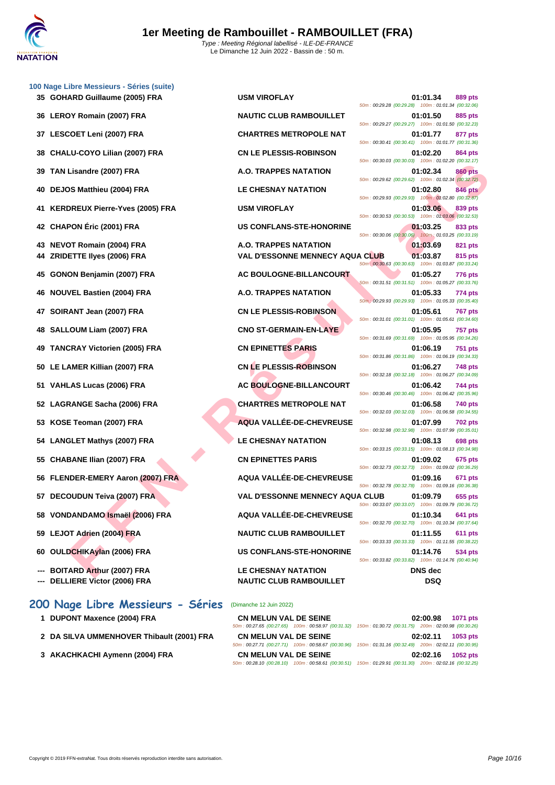|    | 100 Nage Libre Messieurs - Séries (suite) |                                        |                                                                  |                |
|----|-------------------------------------------|----------------------------------------|------------------------------------------------------------------|----------------|
|    | 35 GOHARD Guillaume (2005) FRA            | <b>USM VIROFLAY</b>                    | 01:01.34<br>50m: 00:29.28 (00:29.28) 100m: 01:01.34 (00:32.06)   | 889 pts        |
|    | 36 LEROY Romain (2007) FRA                | <b>NAUTIC CLUB RAMBOUILLET</b>         | 01:01.50<br>50m: 00:29.27 (00:29.27) 100m: 01:01.50 (00:32.23)   | 885 pts        |
|    | 37 LESCOET Leni (2007) FRA                | <b>CHARTRES METROPOLE NAT</b>          | 01:01.77<br>50m: 00:30.41 (00:30.41) 100m: 01:01.77 (00:31.36)   | 877 pts        |
| 38 | CHALU-COYO Lilian (2007) FRA              | <b>CN LE PLESSIS-ROBINSON</b>          | 01:02.20                                                         | 864 pts        |
| 39 | TAN Lisandre (2007) FRA                   | A.O. TRAPPES NATATION                  | 50m: 00:30.03 (00:30.03) 100m: 01:02.20 (00:32.17)<br>01:02.34   | <b>860 pts</b> |
| 40 | DEJOS Matthieu (2004) FRA                 | <b>LE CHESNAY NATATION</b>             | 50m: 00:29.62 (00:29.62) 100m: 01:02.34 (00:32.72)<br>01:02.80   | 846 pts        |
|    | <b>KERDREUX Pierre-Yves (2005) FRA</b>    | <b>USM VIROFLAY</b>                    | 50m: 00:29.93 (00:29.93) 100m: 01:02.80 (00:32.87)<br>01:03.06   | 839 pts        |
| 42 | <b>CHAPON Éric (2001) FRA</b>             | <b>US CONFLANS-STE-HONORINE</b>        | 50m: 00:30.53 (00:30.53) 100m: 01:03.06 (00:32.53)<br>01:03.25   | 833 pts        |
|    |                                           |                                        | 50m: 00:30.06 (00:30.06) 100m: 01:03.25 (00:33.19)               |                |
| 43 | <b>NEVOT Romain (2004) FRA</b>            | A.O. TRAPPES NATATION                  | 01:03.69                                                         | 821 pts        |
| 44 | <b>ZRIDETTE Ilyes (2006) FRA</b>          | <b>VAL D'ESSONNE MENNECY AQUA CLUB</b> | 01:03.87<br>50m : 00:30.63 (00:30.63) 100m : 01:03.87 (00:33.24) | 815 pts        |
| 45 | GONON Benjamin (2007) FRA                 | AC BOULOGNE-BILLANCOURT                | 01:05.27<br>50m: 00:31.51 (00:31.51) 100m: 01:05.27 (00:33.76)   | 776 pts        |
| 46 | <b>NOUVEL Bastien (2004) FRA</b>          | A.O. TRAPPES NATATION                  | 01:05.33                                                         | 774 pts        |
| 47 | SOIRANT Jean (2007) FRA                   | <b>CN LE PLESSIS-ROBINSON</b>          | 50m : 00:29.93 (00:29.93) 100m : 01:05.33 (00:35.40)<br>01:05.61 | <b>767 pts</b> |
| 48 | SALLOUM Liam (2007) FRA                   | <b>CNO ST-GERMAIN-EN-LAYE</b>          | 50m: 00:31.01 (00:31.01) 100m: 01:05.61 (00:34.60)<br>01:05.95   | <b>757 pts</b> |
|    | <b>TANCRAY Victorien (2005) FRA</b>       | <b>CN EPINETTES PARIS</b>              | 50m: 00:31.69 (00:31.69) 100m: 01:05.95 (00:34.26)<br>01:06.19   | 751 pts        |
|    | 50 LE LAMER Killian (2007) FRA            | <b>CN LE PLESSIS-ROBINSON</b>          | 50m: 00:31.86 (00:31.86) 100m: 01:06.19 (00:34.33)<br>01:06.27   |                |
|    |                                           |                                        | 50m: 00:32.18 (00:32.18) 100m: 01:06.27 (00:34.09)               | <b>748 pts</b> |
|    | 51 VAHLAS Lucas (2006) FRA                | AC BOULOGNE-BILLANCOURT                | 01:06.42<br>50m: 00:30.46 (00:30.46) 100m: 01:06.42 (00:35.96)   | 744 pts        |
|    | 52 LAGRANGE Sacha (2006) FRA              | <b>CHARTRES METROPOLE NAT</b>          | 01:06.58<br>50m: 00:32.03 (00:32.03) 100m: 01:06.58 (00:34.55)   | 740 pts        |
| 53 | KOSE Teoman (2007) FRA                    | AQUA VALLÉE-DE-CHEVREUSE               | 01:07.99<br>50m: 00:32.98 (00:32.98) 100m: 01:07.99 (00:35.01)   | <b>702 pts</b> |
| 54 | <b>LANGLET Mathys (2007) FRA</b>          | <b>LE CHESNAY NATATION</b>             | 01:08.13<br>50m: 00:33.15 (00:33.15) 100m: 01:08.13 (00:34.98)   | 698 pts        |
| 55 | <b>CHABANE Ilian (2007) FRA</b>           | <b>CN EPINETTES PARIS</b>              | 01:09.02                                                         | 675 pts        |
|    | 56 FLENDER-EMERY Aaron (2007) FRA         | AQUA VALLÉE-DE-CHEVREUSE               | 50m: 00:32.73 (00:32.73) 100m: 01:09.02 (00:36.29)<br>01:09.16   | 671 pts        |
|    | 57 DECOUDUN Teiva (2007) FRA              | <b>VAL D'ESSONNE MENNECY AQUA CLUB</b> | 50m: 00:32.78 (00:32.78) 100m: 01:09.16 (00:36.38)<br>01:09.79   | 655 pts        |
|    | 58 VONDANDAMO Ismaël (2006) FRA           | <b>AQUA VALLEE-DE-CHEVREUSE</b>        | 50m: 00:33.07 (00:33.07) 100m: 01:09.79 (00:36.72)<br>01:10.34   | 641 pts        |
|    |                                           |                                        | 50m: 00:32.70 (00:32.70) 100m: 01:10.34 (00:37.64)               |                |
|    | 59 LEJOT Adrien (2004) FRA                | <b>NAUTIC CLUB RAMBOUILLET</b>         | 01:11.55<br>50m: 00:33.33 (00:33.33) 100m: 01:11.55 (00:38.22)   | 611 pts        |
|    | 60 OULDCHIKAylan (2006) FRA               | <b>US CONFLANS-STE-HONORINE</b>        | 01:14.76<br>50m: 00:33.82 (00:33.82) 100m: 01:14.76 (00:40.94)   | 534 pts        |
|    | --- BOITARD Arthur (2007) FRA             | LE CHESNAY NATATION                    | <b>DNS</b> dec                                                   |                |
|    |                                           |                                        |                                                                  |                |

**--- BOITARD Arthur (2007) FRA LE CHESNAY NATATION DNS dec --- DELLIERE Victor (2006) FRA NAUTIC CLUB RAMBOUILLET DSQ**

|                                    |                                        | 50m: 00:29.28 (00:29.28) 100m: 01:01.34 (00:32.06)   |          |                |
|------------------------------------|----------------------------------------|------------------------------------------------------|----------|----------------|
| 36 LEROY Romain (2007) FRA         | <b>NAUTIC CLUB RAMBOUILLET</b>         | 50m: 00:29.27 (00:29.27) 100m: 01:01.50 (00:32.23)   | 01:01.50 | 885 pts        |
| 37 LESCOET Leni (2007) FRA         | <b>CHARTRES METROPOLE NAT</b>          | 50m: 00:30.41 (00:30.41) 100m: 01:01.77 (00:31.36)   | 01:01.77 | 877 pts        |
| 38 CHALU-COYO Lilian (2007) FRA    | <b>CN LE PLESSIS-ROBINSON</b>          |                                                      | 01:02.20 | <b>864 pts</b> |
| 39 TAN Lisandre (2007) FRA         | A.O. TRAPPES NATATION                  | 50m: 00:30.03 (00:30.03) 100m: 01:02.20 (00:32.17)   | 01:02.34 | <b>860 pts</b> |
| 40 DEJOS Matthieu (2004) FRA       | <b>LE CHESNAY NATATION</b>             | 50m: 00:29.62 (00:29.62) 100m: 01:02.34 (00:32.72)   | 01:02.80 | <b>846 pts</b> |
| 41 KERDREUX Pierre-Yves (2005) FRA | <b>USM VIROFLAY</b>                    | 50m: 00:29.93 (00:29.93) 100m: 01:02.80 (00:32.87)   | 01:03.06 | 839 pts        |
| 42 CHAPON Éric (2001) FRA          | <b>US CONFLANS-STE-HONORINE</b>        | 50m: 00:30.53 (00:30.53) 100m: 01:03.06 (00:32.53)   | 01:03.25 | 833 pts        |
| 43 NEVOT Romain (2004) FRA         | A.O. TRAPPES NATATION                  | 50m: 00:30.06 (00:30.06) 100m: 01:03.25 (00:33.19)   | 01:03.69 | 821 pts        |
| 44 ZRIDETTE Ilyes (2006) FRA       | <b>VAL D'ESSONNE MENNECY AQUA CLUB</b> | 50m : 00:30.63 (00:30.63) 100m : 01:03.87 (00:33.24) | 01:03.87 | 815 pts        |
| 45 GONON Benjamin (2007) FRA       | AC BOULOGNE-BILLANCOURT                | 50m: 00:31.51 (00:31.51) 100m: 01:05.27 (00:33.76)   | 01:05.27 | 776 pts        |
| 46 NOUVEL Bastien (2004) FRA       | A.O. TRAPPES NATATION                  | 50m : 00:29.93 (00:29.93) 100m : 01:05.33 (00:35.40) | 01:05.33 | 774 pts        |
| 47 SOIRANT Jean (2007) FRA         | <b>CN LE PLESSIS-ROBINSON</b>          | 50m: 00:31.01 (00:31.01) 100m: 01:05.61 (00:34.60)   | 01:05.61 | <b>767 pts</b> |
| 48 SALLOUM Liam (2007) FRA         | <b>CNO ST-GERMAIN-EN-LAYE</b>          | 50m: 00:31.69 (00:31.69) 100m: 01:05.95 (00:34.26)   | 01:05.95 | 757 pts        |
| 49 TANCRAY Victorien (2005) FRA    | <b>CN EPINETTES PARIS</b>              | 50m: 00:31.86 (00:31.86) 100m: 01:06.19 (00:34.33)   | 01:06.19 | <b>751 pts</b> |
| 50 LE LAMER Killian (2007) FRA     | <b>CN LE PLESSIS-ROBINSON</b>          | 50m: 00:32.18 (00:32.18) 100m: 01:06.27 (00:34.09)   | 01:06.27 | <b>748 pts</b> |
| 51 VAHLAS Lucas (2006) FRA         | <b>AC BOULOGNE-BILLANCOURT</b>         | 50m: 00:30.46 (00:30.46) 100m: 01:06.42 (00:35.96)   | 01:06.42 | <b>744 pts</b> |
| 52 LAGRANGE Sacha (2006) FRA       | <b>CHARTRES METROPOLE NAT</b>          | 50m: 00:32.03 (00:32.03) 100m: 01:06.58 (00:34.55)   | 01:06.58 | 740 pts        |
| 53 KOSE Teoman (2007) FRA          | AQUA VALLÉE-DE-CHEVREUSE               | 50m: 00:32.98 (00:32.98) 100m: 01:07.99 (00:35.01)   | 01:07.99 | <b>702 pts</b> |
| 54 LANGLET Mathys (2007) FRA       | <b>LE CHESNAY NATATION</b>             | 50m: 00:33.15 (00:33.15) 100m: 01:08.13 (00:34.98)   | 01:08.13 | 698 pts        |
| 55 CHABANE Ilian (2007) FRA        | <b>CN EPINETTES PARIS</b>              | 50m: 00:32.73 (00:32.73) 100m: 01:09.02 (00:36.29)   | 01:09.02 | 675 pts        |
| 56 FLENDER-EMERY Aaron (2007) FRA  | <b>AQUA VALLÉE-DE-CHEVREUSE</b>        |                                                      | 01:09.16 | 671 pts        |
| 57 DECOUDUN Teiva (2007) FRA       | <b>VAL D'ESSONNE MENNECY AQUA CLUB</b> | 50m: 00:32.78 (00:32.78) 100m: 01:09.16 (00:36.38)   | 01:09.79 | 655 pts        |
| 58 VONDANDAMO Ismaël (2006) FRA    | AQUA VALLÉE-DE-CHEVREUSE               | 50m: 00:33.07 (00:33.07) 100m: 01:09.79 (00:36.72)   | 01:10.34 | 641 pts        |
| 59 LEJOT Adrien (2004) FRA         | <b>NAUTIC CLUB RAMBOUILLET</b>         | 50m: 00:32.70 (00:32.70) 100m: 01:10.34 (00:37.64)   | 01:11.55 | 611 pts        |
| 60 OULDCHIKAylan (2006) FRA        | <b>US CONFLANS-STE-HONORINE</b>        | 50m: 00:33.33 (00:33.33) 100m: 01:11.55 (00:38.22)   | 01:14.76 | 534 pts        |
|                                    |                                        | 50m: 00:33.82 (00:33.82) 100m: 01:14.76 (00:40.94)   |          |                |

| <b>CN MELUN VAL DE SEINE</b>                       | 02:00.98 1071 pts<br>50m: 00:27.65 (00:27.65) 100m: 00:58.97 (00:31.32) 150m: 01:30.72 (00:31.75) 200m: 02:00.98 (00:30.26) |
|----------------------------------------------------|-----------------------------------------------------------------------------------------------------------------------------|
| <b>CN MELUN VAL DE SEINE</b>                       | 02:02.11 1053 pts                                                                                                           |
| <b>CN MELUN VAL DE SEINE</b>                       | 50m: 00:27.71 (00:27.71) 100m: 00:58.67 (00:30.96) 150m: 01:31.16 (00:32.49) 200m: 02:02.11 (00:30.95)<br>02:02.16 1052 pts |
| 50m: 00:28.10 (00:28.10) 100m: 00:58.61 (00:30.51) | 150m: 01:29.91 (00:31.30) 200m: 02:02.16 (00:32.25)                                                                         |

# **200 Nage Libre Messieurs - Séries** (Dimanche 12 Juin 2022)

- **1 DUPONT Maxence (2004) FRA** 66
- **2 DA SILVA UMMENHOVER Thibault (2001) FRA**
- **3 [AKACHKACHI Aymenn \(2004\) FRA](http://www.ffnatation.fr/webffn/resultats.php?idact=nat&go=epr&idcpt=78297&idepr=53)** 66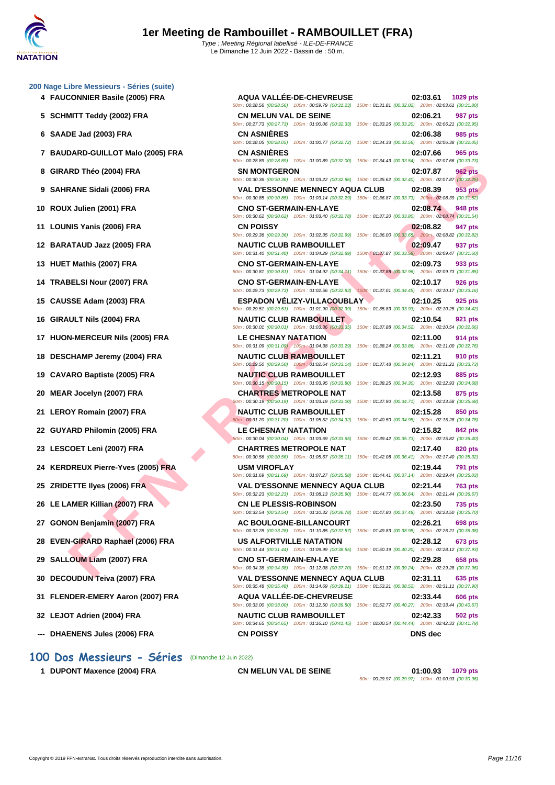#### **[200 Nage](http://www.ffnatation.fr/webffn/index.php) Libre Messieurs - Séries (suite)**

- 
- 
- 
- 
- 
- 
- 
- 
- 
- 
- 
- 
- 
- 
- 
- 
- 
- 
- 
- 
- 
- 
- 
- 
- 
- 
- 
- **31 FLENDER-EMERY Aaron (2007) FRA AQUA VALLÉE-DE-CHEVREUSE 02:33.44 606 pts**
- **32 LEJOT Adrien (2004) FRA NAUTIC CLUB RAMBOUILLET 02:42.33 502 pts**
- **--- DHAENENS Jules (2006) FRA CN POISSY DNS dec**

#### **1 DUPONT Maxence (2004) FRA CN MELUN VAL DE SEINE 01:00.93 1079 pts**

50m : 00:29.97 (00:29.97) 100m : 01:00.93 (00:30.96)

**FRANCE SIGN (2004) FRA**<br> **FRANCE SIGN (2006) FRA**<br> **FRANCE SIGN (2006) FRA**<br> **FRANCE SIGN (2006) FRA**<br> **FRANCE SIGN (2006) FRA**<br> **FRANCE SIGN (2006) FRA**<br> **FRANCE SIGN (2006) FRA**<br> **CAUSE CONSIDERER CONSIDERER CONSIDERER 4 FAUCONNIER Basile (2005) FRA AQUA VALLÉE-DE-CHEVREUSE 02:03.61 1029 pts** 50m : 00:28.56 (00:28.56) 100m : 00:59.79 (00:31.23) 150m : 01:31.81 (00:32.02) 200m : 02:03.61 (00:31.80) **5 SCHMITT Teddy (2002) FRA CN MELUN VAL DE SEINE 02:06.21 987 pts** 50m : 00:27.73 (00:27.73) 100m : 01:00.06 (00:32.33) 150m : 01:33.26 (00:33.20) 200m : 02:06.21 (00:32.95) **6 SAADE Jad (2003) FRA CN ASNIÈRES 02:06.38 985 pts** 50m : 00:28.05 (00:28.05) 100m : 01:00.77 (00:32.72) 150m : 01:34.33 (00:33.56) 200m : 02:06.38 (00:32.05) **7 BAUDARD-GUILLOT Malo (2005) FRA CN ASNIÈRES 02:07.66 965 pts** 50m : 00:28.89 (00:28.89) 100m : 01:00.89 (00:32.00) 150m : 01:34.43 (00:33.54) 200m : 02:07.66 (00:33.23) **8 GIRARD Théo (2004) FRA SN MONTGERON 02:07.87 962 pts** 50m : 00:30.36 (00:30.36) 100m : 01:03.22 (00:32.86) 150m : 01:35.62 (00:32.40) 200m : 02:07.87 (00:32.25) **9 SAHRANE Sidali (2006) FRA VAL D'ESSONNE MENNECY AQUA CLUB 02:08.39 953 pts** 50m : 00:30.85 (00:30.85) 100m : 01:03.14 (00:32.29) 150m : 01:36.87 (00:33.73) 200m : 02:08.39 (00:31.52) **10 ROUX Julien (2001) FRA CNO ST-GERMAIN-EN-LAYE 02:08.74 948 pts** 50m : 00:30.62 (00:30.62) 100m : 01:03.40 (00:32.78) 150m : 01:37.20 (00:33.80) 200m : 02:08.74 (00:31.54) **11 LOUNIS Yanis (2006) FRA CN POISSY 02:08.82 947 pts** 50m : 00:29.36 (00:29.36) 100m : 01:02.35 (00:32.99) 150m : 01:36.00 (00:33.65) 200m : 02:08.82 (00:32.82) **12 BARATAUD Jazz (2005) FRA NAUTIC CLUB RAMBOUILLET 02:09.47 937 pts** 50m : 00:31.40 (00:31.40) 100m : 01:04.29 (00:32.89) 150m : 01:37.87 (00:33.58) 200m : 02:09.47 (00:31.60) **13 HUET Mathis (2007) FRA CNO ST-GERMAIN-EN-LAYE 02:09.73 933 pts** 50m : 00:30.81 (00:30.81) 100m : 01:04.92 (00:34.11) 150m : 01:37.88 (00:32.96) 200m : 02:09.73 (00:31.85) **14 TRABELSI Nour (2007) FRA CNO ST-GERMAIN-EN-LAYE 02:10.17 926 pts** 50m : 00:29.73 (00:29.73) 100m : 01:02.56 (00:32.83) 150m : 01:37.01 (00:34.45) 200m : 02:10.17 (00:33.16) **15 CAUSSE Adam (2003) FRA ESPADON VÉLIZY-VILLACOUBLAY 02:10.25 925 pts** 50m : 00:29.51 (00:29.51) 100m : 01:01.90 (00:32.39) 150m : 01:35.83 (00:33.93) 200m : 02:10.25 (00:34.42) **16 GIRAULT Nils (2004) FRA NAUTIC CLUB RAMBOUILLET 02:10.54 921 pts** 50m : 00:30.01 (00:30.01) 100m : 01:03.36 (00:33.35) 150m : 01:37.88 (00:34.52) 200m : 02:10.54 (00:32.66) **17 HUON-MERCEUR Nils (2005) FRA LE CHESNAY NATATION 02:11.00 914 pts** 50m : 00:31.09 (00:31.09) 100m : 01:04.38 (00:33.29) 150m : 01:38.24 (00:33.86) 200m : 02:11.00 (00:32.76) **18 DESCHAMP Jeremy (2004) FRA NAUTIC CLUB RAMBOUILLET 02:11.21 910 pts** 50m : 00:29.50 (00:29.50) 100m : 01:02.64 (00:33.14) 150m : 01:37.48 (00:34.84) 200m : 02:11.21 (00:33.73) **19 CAVARO Baptiste (2005) FRA NAUTIC CLUB RAMBOUILLET 02:12.93 885 pts** 50m : 00:30.15 (00:30.15) 100m : 01:03.95 (00:33.80) 150m : 01:38.25 (00:34.30) 200m : 02:12.93 (00:34.68) **20 MEAR Jocelyn (2007) FRA CHARTRES METROPOLE NAT 02:13.58 875 pts** 50m : 00:30.19 (00:30.19) 100m : 01:03.19 (00:33.00) 150m : 01:37.90 (00:34.71) 200m : 02:13.58 (00:35.68) **21 LEROY Romain (2007) FRA NAUTIC CLUB RAMBOUILLET 02:15.28 850 pts** 50m : 00:31.20 (00:31.20) 100m : 01:05.52 (00:34.32) 150m : 01:40.50 (00:34.98) 200m : 02:15.28 (00:34.78) **22 GUYARD Philomin (2005) FRA LE CHESNAY NATATION 02:15.82 842 pts** 50m : 00:30.04 (00:30.04) 100m : 01:03.69 (00:33.65) 150m : 01:39.42 (00:35.73) 200m : 02:15.82 (00:36.40) **23 LESCOET Leni (2007) FRA CHARTRES METROPOLE NAT 02:17.40 820 pts** 50m : 00:30.56 (00:30.56) 100m : 01:05.67 (00:35.11) 150m : 01:42.08 (00:36.41) 200m : 02:17.40 (00:35.32) **24 KERDREUX Pierre-Yves (2005) FRA USM VIROFLAY 02:19.44 791 pts** 50m : 00:31.69 (00:31.69) 100m : 01:07.27 (00:35.58) 150m : 01:44.41 (00:37.14) 200m : 02:19.44 (00:35.03) **25 ZRIDETTE Ilyes (2006) FRA VAL D'ESSONNE MENNECY AQUA CLUB 02:21.44 763 pts** 50m : 00:32.23 (00:32.23) 100m : 01:08.13 (00:35.90) 150m : 01:44.77 (00:36.64) 200m : 02:21.44 (00:36.67) **26 LE LAMER Killian (2007) FRA CN LE PLESSIS-ROBINSON 02:23.50 735 pts** 50m : 00:33.54 (00:33.54) 100m : 01:10.32 (00:36.78) 150m : 01:47.80 (00:37.48) 200m : 02:23.50 (00:35.70) **27 GONON Benjamin (2007) FRA AC BOULOGNE-BILLANCOURT 02:26.21 698 pts** 50m : 00:33.28 (00:33.28) 100m : 01:10.85 (00:37.57) 150m : 01:49.83 (00:38.98) 200m : 02:26.21 (00:36.38) **28 EVEN-GIRARD Raphael (2006) FRA US ALFORTVILLE NATATION 02:28.12 673 pts** 50m : 00:31.44 (00:31.44) 100m : 01:09.99 (00:38.55) 150m : 01:50.19 (00:40.20) 200m : 02:28.12 (00:37.93) **29 SALLOUM Liam (2007) FRA CNO ST-GERMAIN-EN-LAYE 02:29.28 658 pts** 50m : 00:34.38 (00:34.38) 100m : 01:12.08 (00:37.70) 150m : 01:51.32 (00:39.24) 200m : 02:29.28 (00:37.96) **30 DECOUDUN Teiva (2007) FRA VAL D'ESSONNE MENNECY AQUA CLUB 02:31.11 635 pts** 50m : 00:35.48 (00:35.48) 100m : 01:14.69 (00:39.21) 150m : 01:53.21 (00:38.52) 200m : 02:31.11 (00:37.90)

50m : 00:33.00 (00:33.00) 100m : 01:12.50 (00:39.50) 150m : 01:52.77 (00:40.27) 200m : 02:33.44 (00:40.67)

50m : 00:34.65 (00:34.65) 100m : 01:16.10 (00:41.45) 150m : 02:00.54 (00:44.44) 200m : 02:42.33 (00:41.79)

**100 Dos Messieurs - Séries** (Dimanche 12 Juin 2022)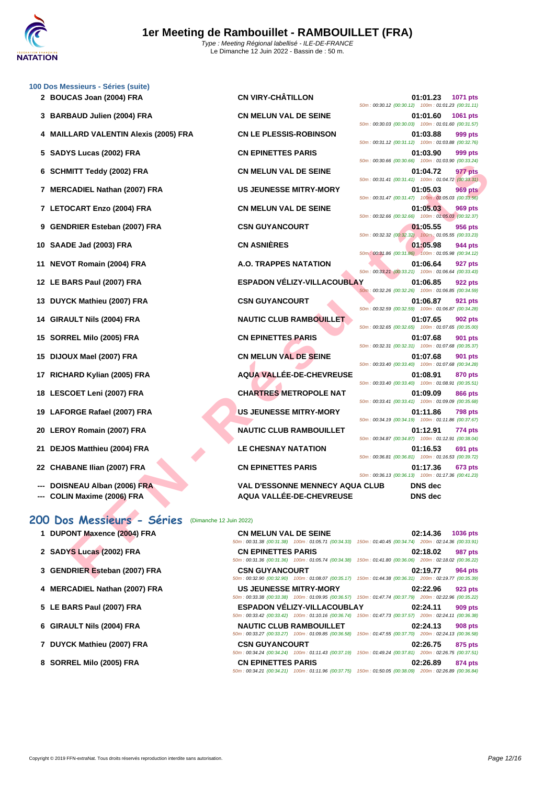

|    | 100 Dos Messieurs - Séries (suite)                    |                                                                                                                                     |                                                    |                |                 |
|----|-------------------------------------------------------|-------------------------------------------------------------------------------------------------------------------------------------|----------------------------------------------------|----------------|-----------------|
|    | 2 BOUCAS Joan (2004) FRA                              | <b>CN VIRY-CHÂTILLON</b>                                                                                                            | 50m: 00:30.12 (00:30.12) 100m: 01:01.23 (00:31.11) | 01:01.23       | <b>1071 pts</b> |
|    | 3 BARBAUD Julien (2004) FRA                           | <b>CN MELUN VAL DE SEINE</b>                                                                                                        | 50m: 00:30.03 (00:30.03) 100m: 01:01.60 (00:31.57) | 01:01.60       | 1061 pts        |
|    | 4 MAILLARD VALENTIN Alexis (2005) FRA                 | <b>CN LE PLESSIS-ROBINSON</b>                                                                                                       |                                                    | 01:03.88       | 999 pts         |
|    | 5 SADYS Lucas (2002) FRA                              | <b>CN EPINETTES PARIS</b>                                                                                                           | 50m: 00:31.12 (00:31.12) 100m: 01:03.88 (00:32.76) | 01:03.90       | 999 pts         |
| 6  | <b>SCHMITT Teddy (2002) FRA</b>                       | <b>CN MELUN VAL DE SEINE</b>                                                                                                        | 50m: 00:30.66 (00:30.66) 100m: 01:03.90 (00:33.24) | 01:04.72       | 977 pts         |
|    | 7 MERCADIEL Nathan (2007) FRA                         | <b>US JEUNESSE MITRY-MORY</b>                                                                                                       | 50m: 00:31.41 (00:31.41) 100m: 01:04.72 (00:33.31) | 01:05.03       | <b>969 pts</b>  |
|    | 7 LETOCART Enzo (2004) FRA                            | <b>CN MELUN VAL DE SEINE</b>                                                                                                        | 50m: 00:31.47 (00:31.47) 100m: 01:05.03 (00:33.56) | 01:05.03       | 969 pts         |
| 9  | <b>GENDRIER Esteban (2007) FRA</b>                    | <b>CSN GUYANCOURT</b>                                                                                                               | 50m: 00:32.66 (00:32.66) 100m: 01:05.03 (00:32.37) | 01:05.55       | 956 pts         |
|    | 10 SAADE Jad (2003) FRA                               | <b>CN ASNIÈRES</b>                                                                                                                  | 50m: 00:32.32 (00:32.32) 100m: 01:05.55 (00:33.23) | 01:05.98       | 944 pts         |
|    |                                                       | A.O. TRAPPES NATATION                                                                                                               | 50m: 00:31.86 (00:31.86) 100m: 01:05.98 (00:34.12) | 01:06.64       | <b>927 pts</b>  |
| 11 | <b>NEVOT Romain (2004) FRA</b>                        |                                                                                                                                     | 50m: 00:33.21 (00:33.21) 100m: 01:06.64 (00:33.43) |                |                 |
|    | 12 LE BARS Paul (2007) FRA                            | <b>ESPADON VÉLIZY-VILLACOUBLAY</b>                                                                                                  | 50m: 00:32.26 (00:32.26) 100m: 01:06.85 (00:34.59) | 01:06.85       | 922 pts         |
|    | 13 DUYCK Mathieu (2007) FRA                           | <b>CSN GUYANCOURT</b>                                                                                                               | 50m: 00:32.59 (00:32.59) 100m: 01:06.87 (00:34.28) | 01:06.87       | 921 pts         |
|    | 14 GIRAULT Nils (2004) FRA                            | <b>NAUTIC CLUB RAMBOUILLET</b>                                                                                                      | 50m: 00:32.65 (00:32.65) 100m: 01:07.65 (00:35.00) | 01:07.65       | <b>902 pts</b>  |
| 15 | SORREL Milo (2005) FRA                                | <b>CN EPINETTES PARIS</b>                                                                                                           | 50m: 00:32.31 (00:32.31) 100m: 01:07.68 (00:35.37) | 01:07.68       | 901 pts         |
| 15 | DIJOUX Mael (2007) FRA                                | <b>CN MELUN VAL DE SEINE</b>                                                                                                        | 50m: 00:33.40 (00:33.40) 100m: 01:07.68 (00:34.28) | 01:07.68       | 901 pts         |
| 17 | RICHARD Kylian (2005) FRA                             | AQUA VALLÉE-DE-CHEVREUSE                                                                                                            | 50m: 00:33.40 (00:33.40) 100m: 01:08.91 (00:35.51) | 01:08.91       | 870 pts         |
| 18 | LESCOET Leni (2007) FRA                               | <b>CHARTRES METROPOLE NAT</b>                                                                                                       |                                                    | 01:09.09       | 866 pts         |
| 19 | LAFORGE Rafael (2007) FRA                             | <b>US JEUNESSE MITRY-MORY</b>                                                                                                       | 50m: 00:33.41 (00:33.41) 100m: 01:09.09 (00:35.68) | 01:11.86       | 798 pts         |
| 20 | <b>LEROY Romain (2007) FRA</b>                        | <b>NAUTIC CLUB RAMBOUILLET</b>                                                                                                      | 50m: 00:34.19 (00:34.19) 100m: 01:11.86 (00:37.67) | 01:12.91       | 774 pts         |
|    | 21 DEJOS Matthieu (2004) FRA                          | <b>LE CHESNAY NATATION</b>                                                                                                          | 50m: 00:34.87 (00:34.87) 100m: 01:12.91 (00:38.04) | 01:16.53       | 691 pts         |
| 22 | <b>CHABANE Ilian (2007) FRA</b>                       | <b>CN EPINETTES PARIS</b>                                                                                                           | 50m: 00:36.81 (00:36.81) 100m: 01:16.53 (00:39.72) | 01:17.36       | <b>673 pts</b>  |
|    | DOISNEAU Alban (2006) FRA                             | <b>VAL D'ESSONNE MENNECY AQUA CLUB</b>                                                                                              | 50m: 00:36.13 (00:36.13) 100m: 01:17.36 (00:41.23) | <b>DNS</b> dec |                 |
|    | <b>COLIN Maxime (2006) FRA</b>                        | <b>AQUA VALLÉE-DE-CHEVREUSE</b>                                                                                                     |                                                    | <b>DNS</b> dec |                 |
|    | 200 Dos Messieurs - Séries<br>(Dimanche 12 Juin 2022) |                                                                                                                                     |                                                    |                |                 |
|    | 1 DUPONT Maxence (2004) FRA                           | <b>CN MELUN VAL DE SEINE</b>                                                                                                        |                                                    | 02:14.36       | <b>1036 pts</b> |
|    | 2 SADYS Lucas (2002) FRA                              | 50m: 00:31.38 (00:31.38) 100m: 01:05.71 (00:34.33) 150m: 01:40.45 (00:34.74) 200m: 02:14.36 (00:33.91)<br><b>CN EPINETTES PARIS</b> |                                                    | 02:18.02       | 987 pts         |
|    | 3 GENDRIER Esteban (2007) FRA                         | 50m : 00:31.36 (00:31.36) 100m : 01:05.74 (00:34.38) 150m : 01:41.80 (00:36.06) 200m : 02:18.02 (00:36.22)<br><b>CSN GUYANCOURT</b> |                                                    | 02:19.77       | 964 pts         |
|    |                                                       |                                                                                                                                     |                                                    |                |                 |

- **--- DOISNEAU Alban (2006) FRA VAL D'ESSONNE MENNECY AQUA CLUB DNS dec**
- **--- COLIN Maxime (2006) FRA AQUA VALLÉE-DE-CHEVREUSE DNS dec**

#### **200 Dos Messieurs - Séries** (Dimanche 12 Juin 2022)

**1 DUPONT Maxence (2004) FRA CN MELUN VAL DE SEINE 02:14.36 1036 pts** 50m : 00:31.38 (00:31.38) 100m : 01:05.71 (00:34.33) 150m : 01:40.45 (00:34.74) 200m : 02:14.36 (00:33.91) **2 SADYS Lucas (2002) FRA CN EPINETTES PARIS 02:18.02 987 pts** 50m : 00:31.36 (00:31.36) 100m : 01:05.74 (00:34.38) 150m : 01:41.80 (00:36.06) 200m : 02:18.02 (00:36.22) **3 GENDRIER Esteban (2007) FRA CSN GUYANCOURT 02:19.77 964 pts** 50m : 00:32.90 (00:32.90) 100m : 01:08.07 (00:35.17) 150m : 01:44.38 (00:36.31) 200m : 02:19.77 (00:35.39) **4 MERCADIEL Nathan (2007) FRA US JEUNESSE MITRY-MORY 02:22.96 923 pts** 50m : 00:33.38 (00:33.38) 100m : 01:09.95 (00:36.57) 150m : 01:47.74 (00:37.79) 200m : 02:22.96 (00:35.22) **5 LE BARS Paul (2007) FRA ESPADON VÉLIZY-VILLACOUBLAY 02:24.11 909 pts** 50m : 00:33.42 (00:33.42) 100m : 01:10.16 (00:36.74) 150m : 01:47.73 (00:37.57) 200m : 02:24.11 (00:36.38) **6 GIRAULT Nils (2004) FRA NAUTIC CLUB RAMBOUILLET 02:24.13 908 pts** 50m : 00:33.27 (00:33.27) 100m : 01:09.85 (00:36.58) 150m : 01:47.55 (00:37.70) 200m : 02:24.13 (00:36.58) **7 DUYCK Mathieu (2007) FRA CSN GUYANCOURT 02:26.75 875 pts** 50m : 00:34.24 (00:34.24) 100m : 01:11.43 (00:37.19) 150m : 01:49.24 (00:37.81) 200m : 02:26.75 (00:37.51) **8 SORREL Milo (2005) FRA CN EPINETTES PARIS 02:26.89 874 pts**

50m : 00:34.21 (00:34.21) 100m : 01:11.96 (00:37.75) 150m : 01:50.05 (00:38.09) 200m : 02:26.89 (00:36.84)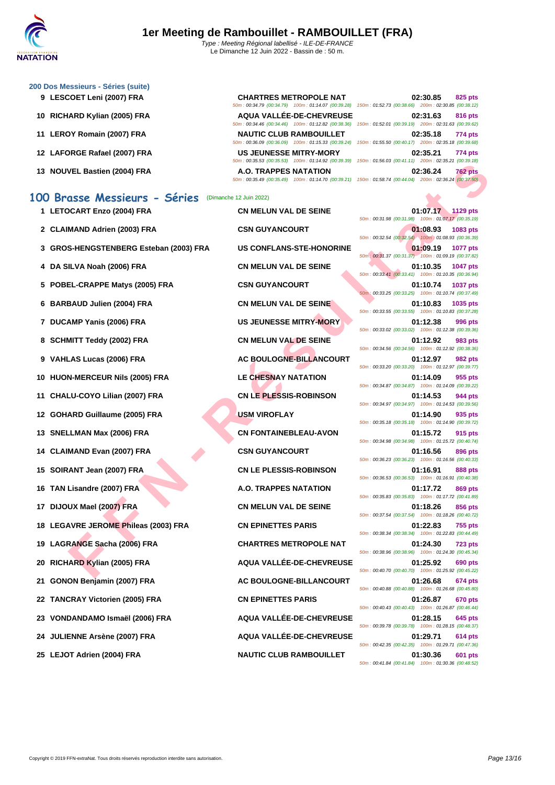

#### **[200 Dos M](http://www.ffnatation.fr/webffn/index.php)essieurs - Séries (suite)**

- 
- 
- 
- 
- 

#### **100 Brasse Messieurs - Séries** (Dimanche 12 Juin 2022)

- 
- 
- **3 GROS-HENGSTENBERG Esteban (2003) FRA US CONFLANS-STE-HONORINE 01:09.19 1077 pts**
- 
- **5 POBEL-CRAPPE Matys (2005) FRA CSN GUYANCOURT 01:10.74 1037 pts**
- 
- 
- 
- 
- **10 HUON-MERCEUR Nils (2005) FRA LE CHESNAY NATATION 01:14.09 955 pts**
- 
- 
- 
- 
- 
- 
- 
- **18 LEGAVRE JEROME Phileas (2003) FRA CN EPINETTES PARIS 01:22.83 755 pts**
- 
- 
- 
- 
- 
- 
- 

**9 LESCOET Leni (2007) FRA CHARTRES METROPOLE NAT 02:30.85 825 pts**

50m : 00:35.49 (00:35.49) 100m : 01:14.70 (00:39.21) 150m : 01:58.74 (00:44.04) 200m : 02:36.24 (00:37.50)

 **CLAIMAND Adrien (2003) FRA CSN GUYANCOURT 01:08.93 1083 pts DA SILVA Noah (2006) FRA CN MELUN VAL DE SEINE 01:10.35 1047 pts BARBAUD Julien (2004) FRA CN MELUN VAL DE SEINE 01:10.83 1035 pts DUCAMP Yanis (2006) FRA US JEUNESSE MITRY-MORY 01:12.38 996 pts SCHMITT Teddy (2002) FRA CN MELUN VAL DE SEINE 01:12.92 983 pts VAHLAS Lucas (2006) FRA AC BOULOGNE-BILLANCOURT 01:12.97 982 pts CHALU-COYO Lilian (2007) FRA CN LE PLESSIS-ROBINSON 01:14.53 944 pts GOHARD Guillaume (2005) FRA USM VIROFLAY 01:14.90 935 pts SNELLMAN Max (2006) FRA CN FONTAINEBLEAU-AVON 01:15.72 915 pts CLAIMAND Evan (2007) FRA CSN GUYANCOURT 01:16.56 896 pts SOIRANT Jean (2007) FRA CN LE PLESSIS-ROBINSON 01:16.91 888 pts TAN Lisandre (2007) FRA A.O. TRAPPES NATATION 01:17.72 869 pts DIJOUX Mael (2007) FRA CN MELUN VAL DE SEINE 01:18.26 856 pts LAGRANGE Sacha (2006) FRA CHARTRES METROPOLE NAT 01:24.30 723 pts RICHARD Kylian (2005) FRA AQUA VALLÉE-DE-CHEVREUSE 01:25.92 690 pts GONON Benjamin (2007) FRA AC BOULOGNE-BILLANCOURT 01:26.68 674 pts TANCRAY Victorien (2005) FRA CN EPINETTES PARIS 01:26.87 670 pts VONDANDAMO Ismaël (2006) FRA AQUA VALLÉE-DE-CHEVREUSE 01:28.15 645 pts JULIENNE Arsène (2007) FRA AQUA VALLÉE-DE-CHEVREUSE 01:29.71 614 pts LEJOT Adrien (2004) FRA NAUTIC CLUB RAMBOUILLET 01:30.36 601 pts**

50m : 00:34.79 (00:34.79) 100m : 01:14.07 (00:39.28) 150m : 01:52.73 (00:38.66) 200m : 02:30.85 (00:38.12) **10 RICHARD Kylian (2005) FRA AQUA VALLÉE-DE-CHEVREUSE 02:31.63 816 pts** 50m : 00:34.46 (00:34.46) 100m : 01:12.82 (00:38.36) 150m : 01:52.01 (00:39.19) 200m : 02:31.63 (00:39.62) **11 LEROY Romain (2007) FRA NAUTIC CLUB RAMBOUILLET 02:35.18 774 pts** 50m : 00:36.09 (00:36.09) 100m : 01:15.33 (00:39.24) 150m : 01:55.50 (00:40.17) 200m : 02:35.18 (00:39.68) **12 LAFORGE Rafael (2007) FRA US JEUNESSE MITRY-MORY 02:35.21 774 pts** 50m : 00:35.53 (00:35.53) 100m : 01:14.92 (00:39.39) 150m : 01:56.03 (00:41.11) 200m : 02:35.21 (00:39.18) **13 NOUVEL Bastien (2004) FRA A.O. TRAPPES NATATION 02:36.24 762 pts**

**EXAMPLE MANU CONTENUAL SERVIT CONTENUAL SERVIT CONTENUAL SERVIT ENTERTS IN THE UNITED AND A THE SERVIT CONTENUE AND CONTENUE SERVIT CONTENUE SERVIT CONTENUE SERVIT CONTENUE SERVIT CONTENUE SERVIT CONTENUE SERVIT CONTENUE 1 LETOCART Enzo (2004) FRA CN MELUN VAL DE SEINE 01:07.17 1129 pts** 50m : 00:31.98 (00:31.98) 100m : 01:07.17 (00:35.19) 50m : 00:32.54 (00:32.54) 100m : 01:08.93 (00:36.39) 50m : 00:31.37 (00:31.37) 100m : 01:09.19 (00:37.82) 50m : 00:33.41 (00:33.41) 100m : 01:10.35 (00:36.94) 50m : 00:33.25 (00:33.25) 100m : 01:10.74 (00:37.49) 50m : 00:33.55 (00:33.55) 100m : 01:10.83 (00:37.28) 50m : 00:33.02 (00:33.02) 100m : 01:12.38 (00:39.36) 50m : 00:34.56 (00:34.56) 100m : 01:12.92 (00:38.36) 50m : 00:33.20 (00:33.20) 100m : 01:12.97 (00:39.77) 50m : 00:34.87 (00:34.87) 100m : 01:14.09 (00:39.22) 50m : 00:34.97 (00:34.97) 100m : 01:14.53 (00:39.56) 50m : 00:35.18 (00:35.18) 100m : 01:14.90 (00:39.72) 50m : 00:34.98 (00:34.98) 100m : 01:15.72 (00:40.74) 50m : 00:36.23 (00:36.23) 100m : 01:16.56 (00:40.33) 50m : 00:36.53 (00:36.53) 100m : 01:16.91 (00:40.38) 50m : 00:35.83 (00:35.83) 100m : 01:17.72 (00:41.89) 50m : 00:37.54 (00:37.54) 100m : 01:18.26 (00:40.72) 50m : 00:38.34 (00:38.34) 100m : 01:22.83 (00:44.49) 50m : 00:38.96 (00:38.96) 100m : 01:24.30 (00:45.34) 50m : 00:40.70 (00:40.70) 100m : 01:25.92 (00:45.22) 50m : 00:40.88 (00:40.88) 100m : 01:26.68 (00:45.80) 50m : 00:40.43 (00:40.43) 100m : 01:26.87 (00:46.44) 50m : 00:39.78 (00:39.78) 100m : 01:28.15 (00:48.37) 50m : 00:42.35 (00:42.35) 100m : 01:29.71 (00:47.36)

50m : 00:41.84 (00:41.84) 100m : 01:30.36 (00:48.52)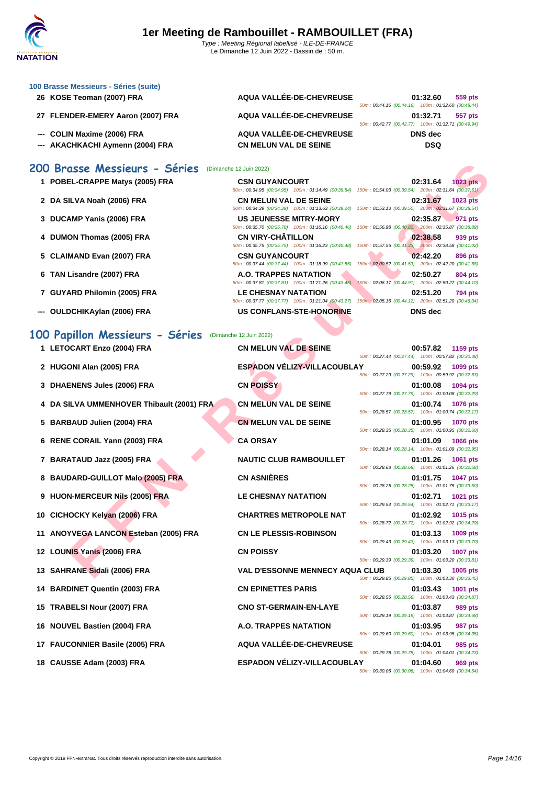| 100 Brasse Messieurs - Séries (suite) |                                                    |                                                                                                                                                                                                                                 |
|---------------------------------------|----------------------------------------------------|---------------------------------------------------------------------------------------------------------------------------------------------------------------------------------------------------------------------------------|
| 26 KOSE Teoman (2007) FRA             | AQUA VALLÉE-DE-CHEVREUSE                           | 01:32.60<br>559 pts                                                                                                                                                                                                             |
|                                       |                                                    | 50m: 00:44.16 (00:44.16) 100m: 01:32.60 (00:48.44)                                                                                                                                                                              |
| 27 FLENDER-EMERY Aaron (2007) FRA     | AQUA VALLÉE-DE-CHEVREUSE                           | 01:32.71<br>557 pts                                                                                                                                                                                                             |
|                                       |                                                    | 50m: 00:42.77 (00:42.77) 100m: 01:32.71 (00:49.94)                                                                                                                                                                              |
| --- COLIN Maxime (2006) FRA           | AQUA VALLÉE-DE-CHEVREUSE                           | DNS dec                                                                                                                                                                                                                         |
| AKACHKACHI Aymenn (2004) FRA          | <b>CN MELUN VAL DE SEINE</b>                       | <b>DSQ</b>                                                                                                                                                                                                                      |
|                                       |                                                    |                                                                                                                                                                                                                                 |
| 200 Brasse Messieurs - Séries         | (Dimanche 12 Juin 2022)                            |                                                                                                                                                                                                                                 |
| 1 POBEL-CRAPPE Matys (2005) FRA       | <b>CSN GUYANCOURT</b>                              | 02:31.64<br>$1023$ pts                                                                                                                                                                                                          |
|                                       | 50m: 00:34.95 (00:34.95) 100m: 01:14.49 (00:39.54) | 150m: 01:54.03 (00:39.54) 200m: 02:31.64 (00:37.61)                                                                                                                                                                             |
| 2 DA SILVA Noah (2006) FRA            | <b>CN MELUN VAL DE SEINE</b>                       | 02:31.67<br>$1023$ pts                                                                                                                                                                                                          |
|                                       | 50m: 00:34.39 (00:34.39) 100m: 01:13.63 (00:39.24) | 150m: 01:53.13 (00:39.50) 200m: 02:31.67 (00:38.54)                                                                                                                                                                             |
| 3 DUCAMP Yanis (2006) FRA             | <b>US JEUNESSE MITRY-MORY</b>                      | 02:35.87<br>971 pts                                                                                                                                                                                                             |
|                                       | 50m: 00:35.70 (00:35.70) 100m: 01:16.16 (00:40.46) | 150m: 01:56.98 (00:40.82) 200m: 02:35.87 (00:38.89)                                                                                                                                                                             |
| 4 DUMON Thomas (2005) FRA             | <b>CN VIRY-CHÂTILLON</b>                           | 02:38.58<br>939 pts                                                                                                                                                                                                             |
|                                       |                                                    | $(0.0 - 0.00, 0.00, 0.0, 0.00, 0.00, 0.00, 0.00, 0.00, 0.00, 0.00, 0.00, 0.00, 0.00, 0.00, 0.00, 0.00, 0.00, 0.00, 0.00, 0.00, 0.00, 0.00, 0.00, 0.00, 0.00, 0.00, 0.00, 0.00, 0.00, 0.00, 0.00, 0.00, 0.00, 0.00, 0.00, 0.00,$ |

- **5 CLAIMAND Evan (2007) FRA CSN GUYANCOURT 02:42.20 896 pts**
- **6 TAN Lisandre (2007) FRA A.O. TRAPPES NATATION 02:50.27 804 pts**
- **7 GUYARD Philomin (2005) FRA LE CHESNAY NATATION 02:51.20 794 pts**
- **--- OULDCHIKAylan (2006) FRA US CONFLANS-STE-HONORINE DNS dec**
- CSE (PASSIE (2013) FRA CHENNEL MATHEM AND THE SE CONFIDENCE CLUB RANDOULLE THAT (2013) FRA RAFE PASSICIAL CONFIDENTIAL CONFIDENTIAL CONFIDENTIAL CONFIDENTIAL CONFIDENTIAL CONFIDENTIAL CONFIDENTIAL CONFIDENTIAL CONFIDEN **100 Papillon Messieurs - Séries** (Dimanche 12 Juin 2022) 1 LETOCART Enzo (2004) FRA **CN MELUN VAL DE SEINE 2 HUGONI Alan (2005) FRA ESPADON VÉLIZY-VILLACOUBLAY 00:59.92 1099 pts 3 DHAENENS** Jules (2006) FRA **CN POISSY 4 DA SILVA UMMENHOVER Thibault (2001) FRA CN MELUN VAL DE SEINE 01:00.74 1076 pts 5 BARBAUD Julien (2004) FRA CN MELUN VAL DE SEINE 01:00.95 1070 pts 6 RENE CORAIL Yann (2003) FRA CA ORSAY 01:01.09 1066 pts 7 BARATAUD Jazz (2005) FRA NAUTIC CLUB RAMBOUILLET 01:01.26 1061 pts 8 BAUDARD-GUILLOT Malo (2005) FRA CN ASNIÈRES 01:01.75 1047 pts 9 HUON-MERCEUR Nils (2005) FRA LE CHESNAY NATATION 01:02.71 1021 pts 10 CICHOCKY Kelyan (2006) FRA CHARTRES METROPOLE NAT 01:02.92 1015 pts 11 ANOYVEGA LANCON Esteban (2005) FRA CN LE PLESSIS-ROBINSON 01:03.13 1009 pts 12 LOUNIS Yanis (2006) FRA CN POISSY 01:03.20 1007 pts 13 SAHRANE Sidali (2006) FRA VAL D'ESSONNE MENNECY AQUA CLUB 01:03.30 1005 pts 14 BARDINET Quentin (2003) FRA CN EPINETTES PARIS 01:03.43 1001 pts 15 TRABELSI Nour (2007) FRA CNO ST-GERMAIN-EN-LAYE 01:03.87 989 pts 16 NOUVEL Bastien (2004) FRA A.O. TRAPPES NATATION 01:03.95 987 pts 17 FAUCONNIER Basile (2005) FRA AQUA VALLÉE-DE-CHEVREUSE 01:04.01 985 pts**
	-

|                                    | 50m : 00:34.39 (00:34.39) = 100m : 01:13.63 (00:39.24) = 150m : 01:53.13 (00:39.50) = 200m : 02:31.67 (00:38.54)           |
|------------------------------------|----------------------------------------------------------------------------------------------------------------------------|
| US JEUNESSE MITRY-MORY             | 02:35.87 971 pts<br>50m: 00:35.70 (00:35.70) 100m: 01:16.16 (00:40.46) 150m: 01:56.98 (00:40.82) 200m: 02:35.87 (00:38.89) |
| <b>CN VIRY-CHÂTILLON</b>           | 02:38.58<br>939 pts                                                                                                        |
|                                    | 50m: 00:35.75 (00:35.75) 100m: 01:16.23 (00:40.48) 150m: 01:57.56 (00:41.33) 200m: 02:38.58 (00:41.02)                     |
| <b>CSN GUYANCOURT</b>              | 02.42.20<br>896 pts                                                                                                        |
|                                    | 50m: 00:37.44 (00:37.44) 100m: 01:18.99 (00:41.55) 150m: 02:00.52 (00:41.53) 200m: 02:42.20 (00:41.68)                     |
| A.O. TRAPPES NATATION              | 02:50.27<br><b>804 pts</b>                                                                                                 |
|                                    | 50m: 00:37.81 (00:37.81) 100m: 01:21.26 (00:43.45) 150m: 02:06.17 (00:44.91) 200m: 02:50.27 (00:44.10)                     |
| <b>LE CHESNAY NATATION</b>         | 02:51.20<br>794 pts                                                                                                        |
|                                    | 50m: 00:37.77 (00:37.77) 100m: 01:21.04 (00:43.27) 150m: 02:05.16 (00:44.12) 200m: 02:51.20 (00:46.04)                     |
| <b>US CONFLANS-STE-HONORINE</b>    | DNS dec                                                                                                                    |
|                                    |                                                                                                                            |
| che 12 Juin 2022)                  |                                                                                                                            |
|                                    |                                                                                                                            |
| <b>CN MELUN VAL DE SEINE</b>       | 00:57.82 1159 pts                                                                                                          |
|                                    | 50m: 00:27.44 (00:27.44) 100m: 00:57.82 (00:30.38)                                                                         |
| <b>ESPADON VÉLIZY-VILLACOUBLAY</b> | 00:59.92 1099 pts                                                                                                          |
|                                    | 50m: 00:27.29 (00:27.29) 100m: 00:59.92 (00:32.63)                                                                         |
| <b>CN POISSY</b>                   | 01:00.08 1094 pts                                                                                                          |
|                                    | 50m: 00:27.79 (00:27.79) 100m: 01:00.08 (00:32.29)                                                                         |
| <b>CN MELUN VAL DE SEINE</b>       | 01:00.74 1076 pts                                                                                                          |
|                                    | $E(m + 00.29 E7 / 00.29 E7) = 100m + 01.00 F1 / 00.22 F1$                                                                  |

m: 00:28.57 (00:28.57) 100m: 01:00.74 (00: 50m : 00:28.35 (00:28.35) 100m : 01:00.95 (00:32.60) 50m : 00:28.14 (00:28.14) 100m : 01:01.09 (00:32.95) 50m : 00:28.68 (00:28.68) 100m : 01:01.26 (00:32.58) 50m : 00:28.25 (00:28.25) 100m : 01:01.75 (00:33.50) 50m : 00:29.54 (00:29.54) 100m : 01:02.71 (00:33.17) 50m : 00:28.72 (00:28.72) 100m : 01:02.92 (00:34.20) 50m : 00:29.43 (00:29.43) 100m : 01:03.13 (00:33.70) 50m : 00:29.39 (00:29.39) 100m : 01:03.20 (00:33.81) 50m : 00:29.85 (00:29.85) 100m : 01:03.30 (00:33.45) 50m : 00:28.56 (00:28.56) 100m : 01:03.43 (00:34.87) 50m : 00:29.19 (00:29.19) 100m : 01:03.87 (00:34.68) 50m : 00:29.60 (00:29.60) 100m : 01:03.95 (00:34.35)

50m : 00:29.78 (00:29.78) 100m : 01:04.01 (00:34.23) **18 CAUSSE Adam (2003) FRA ESPADON VÉLIZY-VILLACOUBLAY 01:04.60 969 pts** 50m : 00:30.06 (00:30.06) 100m : 01:04.60 (00:34.54)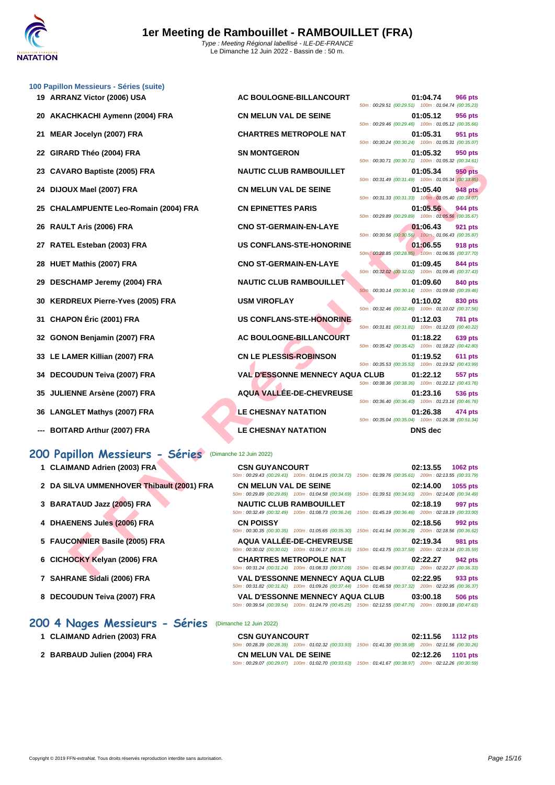

|    | 100 Papillon Messieurs - Séries (suite)   |                                                                                                                                               |                                                                           |
|----|-------------------------------------------|-----------------------------------------------------------------------------------------------------------------------------------------------|---------------------------------------------------------------------------|
|    | 19 ARRANZ Victor (2006) USA               | AC BOULOGNE-BILLANCOURT                                                                                                                       | 01:04.74<br>966 pts<br>50m: 00:29.51 (00:29.51) 100m: 01:04.74 (00:35.23) |
|    | 20 AKACHKACHI Aymenn (2004) FRA           | <b>CN MELUN VAL DE SEINE</b>                                                                                                                  | 01:05.12<br>956 pts<br>50m: 00:29.46 (00:29.46) 100m: 01:05.12 (00:35.66) |
| 21 | MEAR Jocelyn (2007) FRA                   | <b>CHARTRES METROPOLE NAT</b>                                                                                                                 | 01:05.31<br>951 pts                                                       |
| 22 | GIRARD Théo (2004) FRA                    | <b>SN MONTGERON</b>                                                                                                                           | 50m: 00:30.24 (00:30.24) 100m: 01:05.31 (00:35.07)<br>01:05.32<br>950 pts |
| 23 | <b>CAVARO Baptiste (2005) FRA</b>         | <b>NAUTIC CLUB RAMBOUILLET</b>                                                                                                                | 50m: 00:30.71 (00:30.71) 100m: 01:05.32 (00:34.61)<br>01:05.34<br>950 pts |
| 24 | DIJOUX Mael (2007) FRA                    | <b>CN MELUN VAL DE SEINE</b>                                                                                                                  | 50m: 00:31.49 (00:31.49) 100m: 01:05.34 (00:33.85)<br>01:05.40<br>948 pts |
| 25 | <b>CHALAMPUENTE Leo-Romain (2004) FRA</b> | <b>CN EPINETTES PARIS</b>                                                                                                                     | 50m: 00:31.33 (00:31.33) 100m: 01:05.40 (00:34.07)<br>01:05.56<br>944 pts |
| 26 | RAULT Aris (2006) FRA                     | <b>CNO ST-GERMAIN-EN-LAYE</b>                                                                                                                 | 50m: 00:29.89 (00:29.89) 100m: 01:05.56 (00:35.67)<br>01:06.43<br>921 pts |
| 27 | RATEL Esteban (2003) FRA                  | US CONFLANS-STE-HONORINE                                                                                                                      | 50m: 00:30.56 (00:30.56) 100m: 01:06.43 (00:35.87)<br>01:06.55<br>918 pts |
| 28 | HUET Mathis (2007) FRA                    | <b>CNO ST-GERMAIN-EN-LAYE</b>                                                                                                                 | 50m: 00:28.85 (00:28.85) 100m: 01:06.55 (00:37.70)<br>01:09.45<br>844 pts |
|    |                                           |                                                                                                                                               | 50m: 00:32.02 (00:32.02) 100m: 01:09.45 (00:37.43)                        |
| 29 | DESCHAMP Jeremy (2004) FRA                | <b>NAUTIC CLUB RAMBOUILLET</b>                                                                                                                | 01:09.60<br>840 pts<br>50m: 00:30.14 (00:30.14) 100m: 01:09.60 (00:39.46) |
| 30 | <b>KERDREUX Pierre-Yves (2005) FRA</b>    | <b>USM VIROFLAY</b>                                                                                                                           | 01:10.02<br>830 pts<br>50m: 00:32.46 (00:32.46) 100m: 01:10.02 (00:37.56) |
| 31 | <b>CHAPON Éric (2001) FRA</b>             | US CONFLANS-STE-HONORINE                                                                                                                      | 01:12.03<br>781 pts<br>50m: 00:31.81 (00:31.81) 100m: 01:12.03 (00:40.22) |
| 32 | GONON Benjamin (2007) FRA                 | AC BOULOGNE-BILLANCOURT                                                                                                                       | 01:18.22<br>639 pts<br>50m: 00:35.42 (00:35.42) 100m: 01:18.22 (00:42.80) |
|    | 33 LE LAMER Killian (2007) FRA            | CN LE PLESSIS-ROBINSON                                                                                                                        | 01:19.52<br>611 pts<br>50m: 00:35.53 (00:35.53) 100m: 01:19.52 (00:43.99) |
|    | 34 DECOUDUN Teiva (2007) FRA              | <b>VAL D'ESSONNE MENNECY AQUA CLUB</b>                                                                                                        | 01:22.12<br>557 pts<br>50m: 00:38.36 (00:38.36) 100m: 01:22.12 (00:43.76) |
|    | 35 JULIENNE Arsène (2007) FRA             | <b>AQUA VALLEE-DE-CHEVREUSE</b>                                                                                                               | 01:23.16<br>536 pts                                                       |
|    | 36 LANGLET Mathys (2007) FRA              | <b>LE CHESNAY NATATION</b>                                                                                                                    | 50m: 00:36.40 (00:36.40) 100m: 01:23.16 (00:46.76)<br>01:26.38<br>474 pts |
|    | <b>BOITARD Arthur (2007) FRA</b>          | <b>LE CHESNAY NATATION</b>                                                                                                                    | 50m: 00:35.04 (00:35.04) 100m: 01:26.38 (00:51.34)<br><b>DNS</b> dec      |
|    |                                           |                                                                                                                                               |                                                                           |
|    | 200 Papillon Messieurs - Séries           | (Dimanche 12 Juin 2022)                                                                                                                       |                                                                           |
|    | 1 CLAIMAND Adrien (2003) FRA              | <b>CSN GUYANCOURT</b><br>50m: 00:29.43 (00:29.43) 100m: 01:04.15 (00:34.72) 150m: 01:39.76 (00:35.61) 200m: 02:13.55 (00:33.79)               | 02:13.55<br>1062 pts                                                      |
|    | 2 DA SILVA UMMENHOVER Thibault (2001) FRA | <b>CN MELUN VAL DE SEINE</b><br>50m: 00:29.89 (00:29.89) 100m: 01:04.58 (00:34.69) 150m: 01:39.51 (00:34.93) 200m: 02:14.00 (00:34.49)        | 02:14.00<br>1055 pts                                                      |
|    | 3 BARATAUD Jazz (2005) FRA                | <b>NAUTIC CLUB RAMBOUILLET</b>                                                                                                                | 997 pts<br>02:18.19                                                       |
|    | 4 DHAENENS Jules (2006) FRA               | 50m : 00:32.49 (00:32.49) 100m : 01:08.73 (00:36.24) 150m : 01:45.19 (00:36.46) 200m : 02:18.19 (00:33.00)<br><b>CN POISSY</b>                | 02:18.56<br>992 pts                                                       |
|    |                                           | 50m : 00:30.35 (00:30.35) 100m : 01:05.65 (00:35.30) 150m : 01:41.94 (00:36.29) 200m : 02:18.56 (00:36.62)                                    |                                                                           |
|    | 5 FAUCONNIER Basile (2005) FRA            | <b>AQUA VALLEE-DE-CHEVREUSE</b><br>50m : 00:30.02 (00:30.02) 100m : 01:06.17 (00:36.15) 150m : 01:43.75 (00:37.58) 200m : 02:19.34 (00:35.59) | 02:19.34<br>981 pts                                                       |
|    | 6 CICHOCKY Kelyan (2006) FRA              | <b>CHARTRES METROPOLE NAT</b><br>50m: 00:31.24 (00:31.24) 100m: 01:08.33 (00:37.09) 150m: 01:45.94 (00:37.61) 200m: 02:22.27 (00:36.33)       | 02:22.27<br>942 pts                                                       |
|    | <b>7. CALIDANIE CLIAI: (2006) EDA</b>     | VAL DIECCONNIE MENNECY AQUA CLUB                                                                                                              | 0.0000                                                                    |

## **200 Papillon Messieurs - Séries** (Dimanche 12 Juin 2022)

- **1 CLAIMAND Adrien (2003) FRA**
- **2 DA SILVA UMMENHOVER Thibault (2001) FRA**
- **3 BARATAUD Jazz (2005) FRA**
- **4 DHAENENS Jules (2006) FRA**
- **5 FAUCONNIER Basile (2005) FRA**
- **6** CICHOCKY Kelyan (2006) FRA
- **7 SAHRANE Sidali (2006) FRA**
- **8 DECOUDUN Teiva (2007) FRA**

## **200 4 Nages Messieurs - Séries** (Dimanche 12 Juin 2022)

- **1 CLAIMAND Adrien (2003) FRA**
- 2 **BARBAUD Julien (2004) FRA**

| LUIN VAL DE JEINE                | 50m:00:29.  |
|----------------------------------|-------------|
| <b>TRES METROPOLE NAT</b>        | 50m: 00:30. |
| <b>NTGERON</b>                   |             |
| C CLUB RAMBOUILLET               | 50m:00:30.  |
| <b>LUN VAL DE SEINE</b>          | 50m:00:31.  |
| <b>NETTES PARIS</b>              | 50m:00:31.  |
|                                  | 50m: 00:29. |
| <b>T-GERMAIN-EN-LAYE</b>         | 50m:00:30.  |
| <b>NFLANS-STE-HONORINE</b>       | 50m: 00:28. |
| <b>T-GERMAIN-EN-LAYE</b>         | 50m:00:32.  |
| C CLUB RAMBOUILLET               |             |
| IROFLAY                          | 50m: 00:30. |
| <b>NFLANS-STE-HONORINE</b>       | 50m:00:32.  |
| <b>ULOGNE-BILLANCOURT</b>        | 50m:00:31.  |
| <b>PLESSIS-ROBINSON</b>          | 50m:00:35.  |
|                                  | 50m: 00:35. |
| <b>ESSONNE MENNECY AQUA CLUB</b> | 50m: 00:38. |
| <b>VALLÉE-DE-CHEVREUSE</b>       | 50m:00:36.  |
| ESNAY NATATION                   |             |
| ESNAY NATATION                   | 50m: 00:35. |

| <b>OGNE-BILLANCOURT</b>                         | 50m: 00:29.51 (00:29.51) 100m: 01:04.74 (00:35.23)   | 01:04.74             | <b>966 pts</b>            |
|-------------------------------------------------|------------------------------------------------------|----------------------|---------------------------|
| <b>N VAL DE SEINE</b>                           | 50m: 00:29.46 (00:29.46) 100m: 01:05.12 (00:35.66)   | 01:05.12             | 956 pts                   |
| <b>S METROPOLE NAT</b>                          | 50m: 00:30.24 (00:30.24) 100m: 01:05.31 (00:35.07)   | 01:05.31             | 951 pts                   |
| <b>GERON</b>                                    |                                                      | 01:05.32             | 950 pts                   |
| <b>LUB RAMBOUILLET</b>                          | 50m: 00:30.71 (00:30.71) 100m: 01:05.32 (00:34.61)   | 01:05.34             | <b>950 pts</b>            |
| <b>N VAL DE SEINE</b>                           | 50m: 00:31.49 (00:31.49) 100m: 01:05.34 (00:33.85)   | 01:05.40 948 pts     |                           |
| TTES PARIS                                      | 50m: 00:31.33 (00:31.33) 100m: 01:05.40 (00:34.07)   | 01:05.56             | 944 pts                   |
| <b>ERMAIN-EN-LAYE</b>                           | 50m: 00:29.89 (00:29.89) 100m: 01:05.56 (00:35.67)   | 01:06.43 921 pts     |                           |
| <b>ANS-STE-HONORINE</b>                         | 50m : 00:30.56 (00:30.56) 100m : 01:06.43 (00:35.87) | 01:06.55             | <b>918 pts</b>            |
|                                                 | 50m: 00:28.85 (00:28.85) 100m: 01:06.55 (00:37.70)   |                      |                           |
| <b>ERMAIN-EN-LAYE</b>                           |                                                      | 01:09.45             | <b>844 pts</b>            |
| <b>LUB RAMBOUILLET</b>                          | 50m: 00:32.02 (00:32.02) 100m: 01:09.45 (00:37.43)   | 01:09.60             | 840 pts                   |
| <b>FLAY</b>                                     | 50m: 00:30.14 (00:30.14) 100m: 01:09.60 (00:39.46)   | 01:10.02             | <b>830 pts</b>            |
| <b>ANS-STE-HONORINE</b>                         | 50m: 00:32.46 (00:32.46) 100m: 01:10.02 (00:37.56)   | 01:12.03             | <b>781 pts</b>            |
| <b>OGNE-BILLANCOURT</b>                         | 50m: 00:31.81 (00:31.81) 100m: 01:12.03 (00:40.22)   | 01:18.22             | <b>639 pts</b>            |
| <b>ESSIS-ROBINSON</b>                           | 50m: 00:35.42 (00:35.42) 100m: 01:18.22 (00:42.80)   | 01:19.52             | <b>611 pts</b>            |
|                                                 | 50m: 00:35.53 (00:35.53) 100m: 01:19.52 (00:43.99)   |                      |                           |
| <b>SONNE MENNECY AQUA CLUB</b>                  | 50m: 00:38.36 (00:38.36) 100m: 01:22.12 (00:43.76)   | 01:22.12             | <b>557 pts</b>            |
| <b>LLÉE-DE-CHEVREUSE</b><br><b>JAY NATATION</b> | 50m: 00:36.40 (00:36.40) 100m: 01:23.16 (00:46.76)   | 01:23.16<br>01:26.38 | <b>536 pts</b><br>474 pts |

| <b>CSN GUYANCOURT</b>          |                                                                                                        |                                                     | 02:13.55 | 1062 $pts$     |
|--------------------------------|--------------------------------------------------------------------------------------------------------|-----------------------------------------------------|----------|----------------|
|                                | 50m: 00:29.43 (00:29.43) 100m: 01:04.15 (00:34.72) 150m: 01:39.76 (00:35.61) 200m: 02:13.55 (00:33.79) |                                                     |          |                |
| <b>CN MELUN VAL DE SEINE</b>   |                                                                                                        |                                                     | 02:14.00 | 1055 pts       |
|                                | 50m: 00:29.89 (00:29.89) 100m: 01:04.58 (00:34.69) 150m: 01:39.51 (00:34.93) 200m: 02:14.00 (00:34.49) |                                                     |          |                |
| <b>NAUTIC CLUB RAMBOUILLET</b> |                                                                                                        |                                                     | 02:18.19 | 997 pts        |
|                                | 50m: 00:32.49 (00:32.49) 100m: 01:08.73 (00:36.24)                                                     | 150m: 01:45.19 (00:36.46) 200m: 02:18.19 (00:33.00) |          |                |
| <b>CN POISSY</b>               |                                                                                                        |                                                     | 02:18.56 | 992 pts        |
|                                | 50m: 00:30.35 (00:30.35) 100m: 01:05.65 (00:35.30)                                                     | 150m: 01:41.94 (00:36.29) 200m: 02:18.56 (00:36.62) |          |                |
|                                | AQUA VALLÉE-DE-CHEVREUSE                                                                               |                                                     | 02:19.34 | <b>981 pts</b> |
|                                | 50m: 00:30.02 (00:30.02) 100m: 01:06.17 (00:36.15)                                                     | 150m: 01:43.75 (00:37.58) 200m: 02:19.34 (00:35.59) |          |                |
|                                | <b>CHARTRES METROPOLE NAT</b>                                                                          |                                                     | 02:22.27 | 942 pts        |
|                                | 50m: 00:31.24 (00:31.24) 100m: 01:08.33 (00:37.09)                                                     | 150m: 01:45.94 (00:37.61) 200m: 02:22.27 (00:36.33) |          |                |
|                                | <b>VAL D'ESSONNE MENNECY AQUA CLUB</b>                                                                 |                                                     | 02:22.95 | 933 pts        |
|                                | 50m: 00:31.82 (00:31.82) 100m: 01:09.26 (00:37.44) 150m: 01:46.58 (00:37.32) 200m: 02:22.95 (00:36.37) |                                                     |          |                |
|                                | <b>VAL D'ESSONNE MENNECY AQUA CLUB</b>                                                                 |                                                     | 03:00.18 | <b>506 pts</b> |
|                                | 50m: 00:39.54 (00:39.54) 100m: 01:24.79 (00:45.25) 150m: 02:12.55 (00:47.76) 200m: 03:00.18 (00:47.63) |                                                     |          |                |

| <b>CSN GUYANCOURT</b>                                                                                  | 02:11.56 1112 pts                                   |
|--------------------------------------------------------------------------------------------------------|-----------------------------------------------------|
| 50m; 00:28.39 (00:28.39) 100m; 01:02.32 (00:33.93) 150m; 01:41.30 (00:38.98) 200m; 02:11.56 (00:30.26) |                                                     |
| <b>CN MELUN VAL DE SEINE</b>                                                                           | 02:12.26 1101 pts                                   |
| 50m: 00:29.07 (00:29.07) 100m: 01:02.70 (00:33.63)                                                     | 150m: 01:41.67 (00:38.97) 200m: 02:12.26 (00:30.59) |